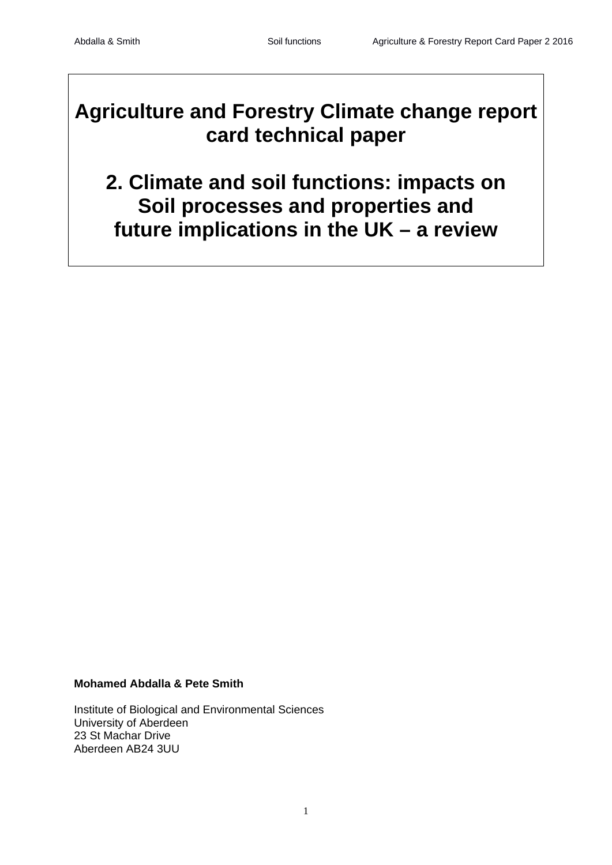# **Agriculture and Forestry Climate change report card technical paper**

# **2. Climate and soil functions: impacts on Soil processes and properties and future implications in the UK – a review**

# **Mohamed Abdalla & Pete Smith**

Institute of Biological and Environmental Sciences University of Aberdeen 23 St Machar Drive Aberdeen AB24 3UU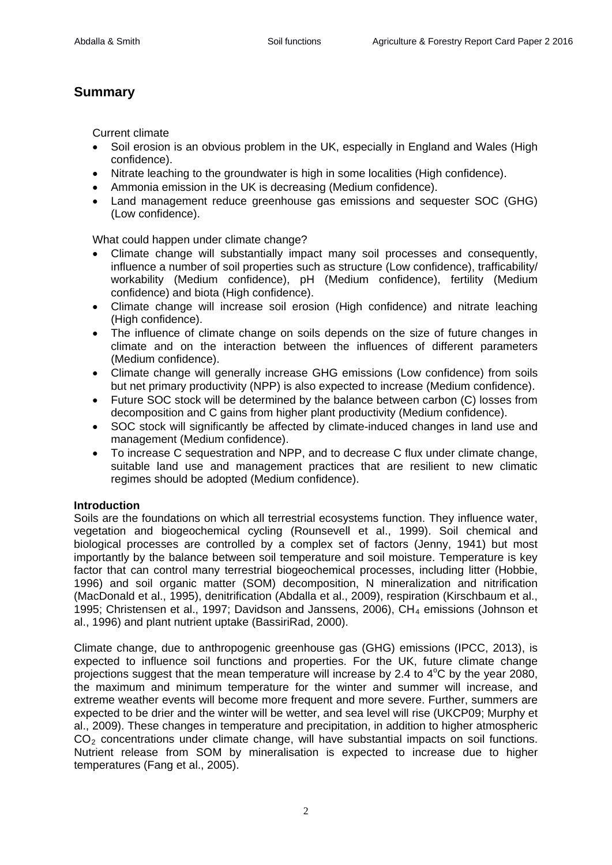# **Summary**

Current climate

- Soil erosion is an obvious problem in the UK, especially in England and Wales (High confidence).
- Nitrate leaching to the groundwater is high in some localities (High confidence).
- Ammonia emission in the UK is decreasing (Medium confidence).
- Land management reduce greenhouse gas emissions and sequester SOC (GHG) (Low confidence).

What could happen under climate change?

- Climate change will substantially impact many soil processes and consequently, influence a number of soil properties such as structure (Low confidence), trafficability/ workability (Medium confidence), pH (Medium confidence), fertility (Medium confidence) and biota (High confidence).
- Climate change will increase soil erosion (High confidence) and nitrate leaching (High confidence).
- The influence of climate change on soils depends on the size of future changes in climate and on the interaction between the influences of different parameters (Medium confidence).
- Climate change will generally increase GHG emissions (Low confidence) from soils but net primary productivity (NPP) is also expected to increase (Medium confidence).
- Future SOC stock will be determined by the balance between carbon (C) losses from decomposition and C gains from higher plant productivity (Medium confidence).
- SOC stock will significantly be affected by climate-induced changes in land use and management (Medium confidence).
- To increase C sequestration and NPP, and to decrease C flux under climate change, suitable land use and management practices that are resilient to new climatic regimes should be adopted (Medium confidence).

# **Introduction**

Soils are the foundations on which all terrestrial ecosystems function. They influence water, vegetation and biogeochemical cycling (Rounsevell et al., 1999). Soil chemical and biological processes are controlled by a complex set of factors (Jenny, 1941) but most importantly by the balance between soil temperature and soil moisture. Temperature is key factor that can control many terrestrial biogeochemical processes, including litter (Hobbie, 1996) and soil organic matter (SOM) decomposition, N mineralization and nitrification (MacDonald et al., 1995), denitrification (Abdalla et al., 2009), respiration (Kirschbaum et al., 1995; Christensen et al., 1997; Davidson and Janssens, 2006), CH<sub>4</sub> emissions (Johnson et al., 1996) and plant nutrient uptake (BassiriRad, 2000).

Climate change, due to anthropogenic greenhouse gas (GHG) emissions (IPCC, 2013), is expected to influence soil functions and properties. For the UK, future climate change projections suggest that the mean temperature will increase by 2.4 to  $4^{\circ}$ C by the year 2080, the maximum and minimum temperature for the winter and summer will increase, and extreme weather events will become more frequent and more severe. Further, summers are expected to be drier and the winter will be wetter, and sea level will rise (UKCP09; Murphy et al., 2009). These changes in temperature and precipitation, in addition to higher atmospheric  $CO<sub>2</sub>$  concentrations under climate change, will have substantial impacts on soil functions. Nutrient release from SOM by mineralisation is expected to increase due to higher temperatures (Fang et al., 2005).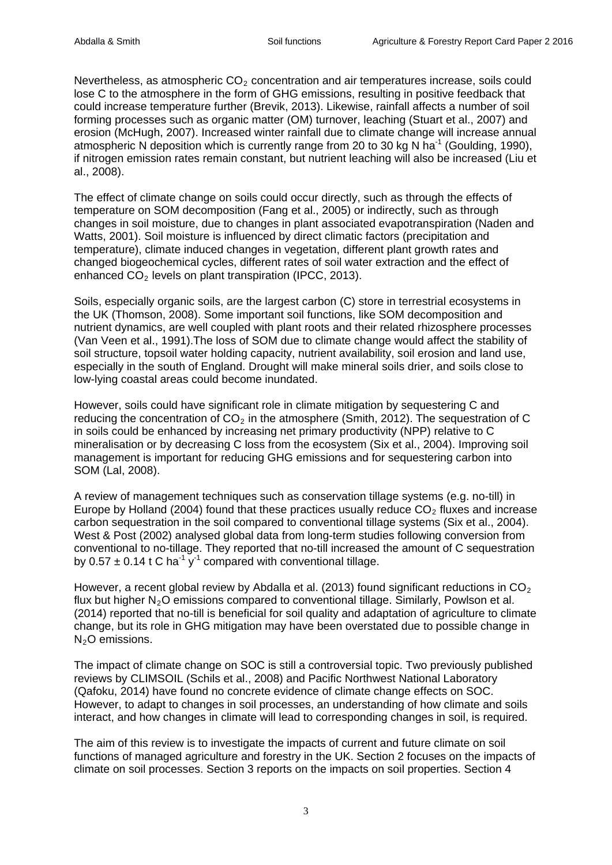Nevertheless, as atmospheric  $CO<sub>2</sub>$  concentration and air temperatures increase, soils could lose C to the atmosphere in the form of GHG emissions, resulting in positive feedback that could increase temperature further (Brevik, 2013). Likewise, rainfall affects a number of soil forming processes such as organic matter (OM) turnover, leaching (Stuart et al., 2007) and erosion (McHugh, 2007). Increased winter rainfall due to climate change will increase annual atmospheric N deposition which is currently range from 20 to 30 kg N ha<sup>-1</sup> (Goulding, 1990), if nitrogen emission rates remain constant, but nutrient leaching will also be increased (Liu et al., 2008).

The effect of climate change on soils could occur directly, such as through the effects of temperature on SOM decomposition (Fang et al., 2005) or indirectly, such as through changes in soil moisture, due to changes in plant associated evapotranspiration (Naden and Watts, 2001). Soil moisture is influenced by direct climatic factors (precipitation and temperature), climate induced changes in vegetation, different plant growth rates and changed biogeochemical cycles, different rates of soil water extraction and the effect of enhanced  $CO<sub>2</sub>$  levels on plant transpiration (IPCC, 2013).

Soils, especially organic soils, are the largest carbon (C) store in terrestrial ecosystems in the UK (Thomson, 2008). Some important soil functions, like SOM decomposition and nutrient dynamics, are well coupled with plant roots and their related rhizosphere processes (Van Veen et al., 1991).The loss of SOM due to climate change would affect the stability of soil structure, topsoil water holding capacity, nutrient availability, soil erosion and land use, especially in the south of England. Drought will make mineral soils drier, and soils close to low-lying coastal areas could become inundated.

However, soils could have significant role in climate mitigation by sequestering C and reducing the concentration of  $CO<sub>2</sub>$  in the atmosphere (Smith, 2012). The sequestration of C in soils could be enhanced by increasing net primary productivity (NPP) relative to C mineralisation or by decreasing C loss from the ecosystem (Six et al., 2004). Improving soil management is important for reducing GHG emissions and for sequestering carbon into SOM (Lal, 2008).

A review of management techniques such as conservation tillage systems (e.g. no-till) in Europe by Holland (2004) found that these practices usually reduce  $CO<sub>2</sub>$  fluxes and increase carbon sequestration in the soil compared to conventional tillage systems (Six et al., 2004). West & Post (2002) analysed global data from long-term studies following conversion from conventional to no-tillage. They reported that no-till increased the amount of C sequestration by 0.57  $\pm$  0.14 t C ha<sup>-1</sup> y<sup>-1</sup> compared with conventional tillage.

However, a recent global review by Abdalla et al. (2013) found significant reductions in  $CO<sub>2</sub>$ flux but higher  $N_2O$  emissions compared to conventional tillage. Similarly, Powlson et al. (2014) reported that no-till is beneficial for soil quality and adaptation of agriculture to climate change, but its role in GHG mitigation may have been overstated due to possible change in  $N<sub>2</sub>O$  emissions.

The impact of climate change on SOC is still a controversial topic. Two previously published reviews by CLIMSOIL (Schils et al., 2008) and Pacific Northwest National Laboratory (Qafoku, 2014) have found no concrete evidence of climate change effects on SOC. However, to adapt to changes in soil processes, an understanding of how climate and soils interact, and how changes in climate will lead to corresponding changes in soil, is required.

The aim of this review is to investigate the impacts of current and future climate on soil functions of managed agriculture and forestry in the UK. Section 2 focuses on the impacts of climate on soil processes. Section 3 reports on the impacts on soil properties. Section 4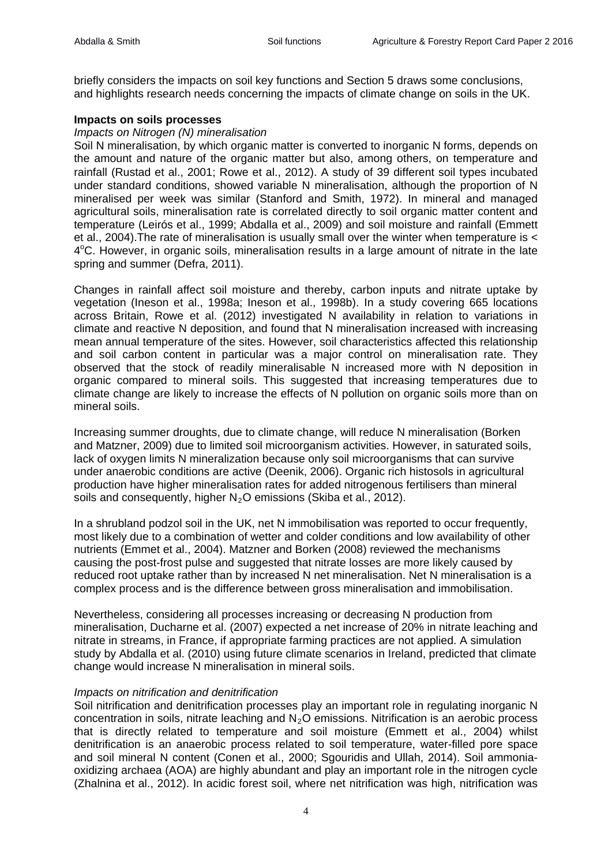briefly considers the impacts on soil key functions and Section 5 draws some conclusions, and highlights research needs concerning the impacts of climate change on soils in the UK.

#### **Impacts on soils processes**

#### *Impacts on Nitrogen (N) mineralisation*

Soil N mineralisation, by which organic matter is converted to inorganic N forms, depends on the amount and nature of the organic matter but also, among others, on temperature and rainfall (Rustad et al., 2001; Rowe et al., 2012). A study of 39 different soil types incubated under standard conditions, showed variable N mineralisation, although the proportion of N mineralised per week was similar (Stanford and Smith, 1972). In mineral and managed agricultural soils, mineralisation rate is correlated directly to soil organic matter content and temperature (Leirós et al., 1999; Abdalla et al., 2009) and soil moisture and rainfall (Emmett et al., 2004).The rate of mineralisation is usually small over the winter when temperature is < 4°C. However, in organic soils, mineralisation results in a large amount of nitrate in the late spring and summer (Defra, 2011).

Changes in rainfall affect soil moisture and thereby, carbon inputs and nitrate uptake by vegetation (Ineson et al., 1998a; Ineson et al., 1998b). In a study covering 665 locations across Britain, Rowe et al. (2012) investigated N availability in relation to variations in climate and reactive N deposition, and found that N mineralisation increased with increasing mean annual temperature of the sites. However, soil characteristics affected this relationship and soil carbon content in particular was a major control on mineralisation rate. They observed that the stock of readily mineralisable N increased more with N deposition in organic compared to mineral soils. This suggested that increasing temperatures due to climate change are likely to increase the effects of N pollution on organic soils more than on mineral soils.

Increasing summer droughts, due to climate change, will reduce N mineralisation (Borken and Matzner, 2009) due to limited soil microorganism activities. However, in saturated soils, lack of oxygen limits N mineralization because only soil microorganisms that can survive under anaerobic conditions are active (Deenik, 2006). Organic rich histosols in agricultural production have higher mineralisation rates for added nitrogenous fertilisers than mineral soils and consequently, higher  $N_2O$  emissions (Skiba et al., 2012).

In a shrubland podzol soil in the UK, net N immobilisation was reported to occur frequently, most likely due to a combination of wetter and colder conditions and low availability of other nutrients (Emmet et al., 2004). Matzner and Borken (2008) reviewed the mechanisms causing the post-frost pulse and suggested that nitrate losses are more likely caused by reduced root uptake rather than by increased N net mineralisation. Net N mineralisation is a complex process and is the difference between gross mineralisation and immobilisation.

Nevertheless, considering all processes increasing or decreasing N production from mineralisation, Ducharne et al. (2007) expected a net increase of 20% in nitrate leaching and nitrate in streams, in France, if appropriate farming practices are not applied. A simulation study by Abdalla et al. (2010) using future climate scenarios in Ireland, predicted that climate change would increase N mineralisation in mineral soils.

#### *Impacts on nitrification and denitrification*

Soil nitrification and denitrification processes play an important role in regulating inorganic N concentration in soils, nitrate leaching and  $N<sub>2</sub>O$  emissions. Nitrification is an aerobic process that is directly related to temperature and soil moisture (Emmett et al., 2004) whilst denitrification is an anaerobic process related to soil temperature, water-filled pore space and soil mineral N content (Conen et al., 2000; Sgouridis and Ullah, 2014). Soil ammoniaoxidizing archaea (AOA) are highly abundant and play an important role in the nitrogen cycle [\(Zhalnina](http://www.ncbi.nlm.nih.gov/pubmed/?term=Zhalnina%20K%5Bauth%5D) et al., 2012). In acidic forest soil, where net nitrification was high, nitrification was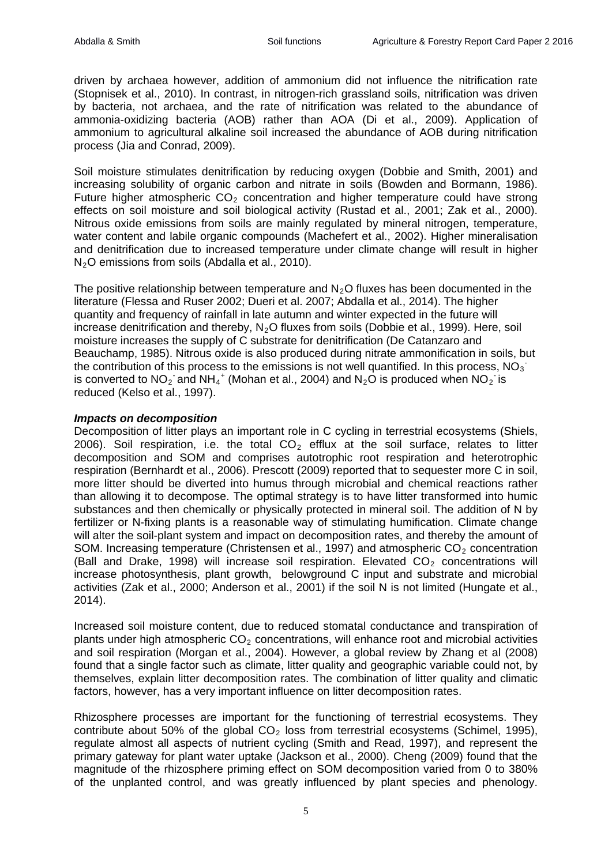driven by archaea however, addition of ammonium did not influence the nitrification rate [\(Stopnisek](http://www.sciencedirect.com/science/article/pii/S0929139314002583%23bib0140) et al., 2010). In contrast, in nitrogen-rich grassland soils, nitrification was driven by bacteria, not archaea, and the rate of nitrification was related to the abundance of ammonia-oxidizing bacteria (AOB) rather than AOA (Di et al., [2009\)](http://www.sciencedirect.com/science/article/pii/S0929139314002583%23bib0030). Application of ammonium to agricultural alkaline soil increased the abundance of AOB during nitrification process (Jia and [Conrad,](http://www.sciencedirect.com/science/article/pii/S0929139314002583%23bib0070) 2009).

Soil moisture stimulates denitrification by reducing oxygen (Dobbie and Smith, 2001) and increasing solubility of organic carbon and nitrate in soils (Bowden and Bormann, 1986). Future higher atmospheric  $CO<sub>2</sub>$  concentration and higher temperature could have strong effects on soil moisture and soil biological activity (Rustad et al., 2001; Zak et al., 2000). Nitrous oxide emissions from soils are mainly regulated by mineral nitrogen, temperature, water content and labile organic compounds (Machefert et al., 2002). Higher mineralisation and denitrification due to increased temperature under climate change will result in higher N<sub>2</sub>O emissions from soils (Abdalla et al., 2010).

The positive relationship between temperature and  $N<sub>2</sub>O$  fluxes has been documented in the literature (Flessa and Ruser 2002; Dueri et al. 2007; Abdalla et al., 2014). The higher quantity and frequency of rainfall in late autumn and winter expected in the future will increase denitrification and thereby,  $N_2O$  fluxes from soils (Dobbie et al., 1999). Here, soil moisture increases the supply of C substrate for denitrification (De Catanzaro and Beauchamp, 1985). Nitrous oxide is also produced during nitrate ammonification in soils, but the contribution of this process to the emissions is not well quantified. In this process,  $NO_3$ is converted to  $NO_2$  and  $NH_4^+$  (Mohan et al., 2004) and  $N_2O$  is produced when  $NO_2$  is reduced (Kelso et al., 1997).

#### *Impacts on decomposition*

Decomposition of litter plays an important role in C cycling in terrestrial ecosystems (Shiels, 2006). Soil respiration, i.e. the total  $CO<sub>2</sub>$  efflux at the soil surface, relates to litter decomposition and SOM and comprises autotrophic root respiration and heterotrophic respiration (Bernhardt et al., 2006). Prescott (2009) reported that to sequester more C in soil, more litter should be diverted into humus through microbial and chemical reactions rather than allowing it to decompose. The optimal strategy is to have litter transformed into humic substances and then chemically or physically protected in mineral soil. The addition of N by fertilizer or N-fixing plants is a reasonable way of stimulating humification. Climate change will alter the soil-plant system and impact on decomposition rates, and thereby the amount of SOM. Increasing temperature (Christensen et al., 1997) and atmospheric  $CO<sub>2</sub>$  concentration (Ball and Drake, 1998) will increase soil respiration. Elevated  $CO<sub>2</sub>$  concentrations will increase photosynthesis, plant growth, belowground C input and substrate and microbial activities (Zak et al., 2000; Anderson et al., 2001) if the soil N is not limited (Hungate et al., 2014).

Increased soil moisture content, due to reduced stomatal conductance and transpiration of plants under high atmospheric  $CO<sub>2</sub>$  concentrations, will enhance root and microbial activities and soil respiration (Morgan et al., 2004). However, a global review by Zhang et al (2008) found that a single factor such as climate, litter quality and geographic variable could not, by themselves, explain litter decomposition rates. The combination of litter quality and climatic factors, however, has a very important influence on litter decomposition rates.

Rhizosphere processes are important for the functioning of terrestrial ecosystems. They contribute about 50% of the global  $CO<sub>2</sub>$  loss from terrestrial ecosystems (Schimel, 1995), regulate almost all aspects of nutrient cycling (Smith and Read, 1997), and represent the primary gateway for plant water uptake (Jackson et al., 2000). Cheng (2009) found that the magnitude of the rhizosphere priming effect on SOM decomposition varied from 0 to 380% of the unplanted control, and was greatly influenced by plant species and phenology.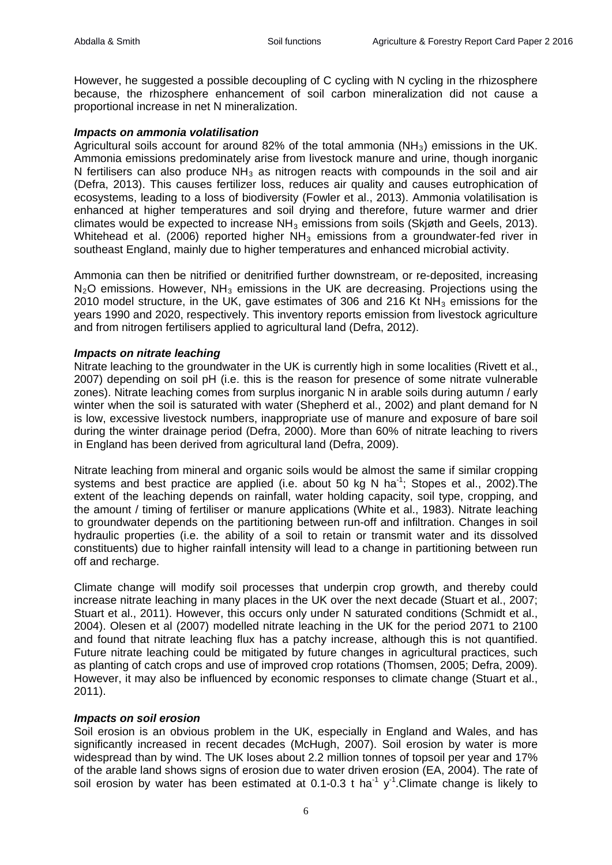However, he suggested a possible decoupling of C cycling with N cycling in the rhizosphere because, the rhizosphere enhancement of soil carbon mineralization did not cause a proportional increase in net N mineralization.

#### *Impacts on ammonia volatilisation*

Agricultural soils account for around 82% of the total ammonia ( $NH<sub>3</sub>$ ) emissions in the UK. Ammonia emissions predominately arise from livestock manure and urine, though inorganic N fertilisers can also produce  $NH<sub>3</sub>$  as nitrogen reacts with compounds in the soil and air (Defra, 2013). This causes fertilizer loss, reduces air quality and causes eutrophication of ecosystems, leading to a loss of biodiversity (Fowler et al., 2013). Ammonia volatilisation is enhanced at higher temperatures and soil drying and therefore, future warmer and drier climates would be expected to increase  $NH_3$  emissions from soils (Skigth and Geels, 2013). Whitehead et al. (2006) reported higher  $NH<sub>3</sub>$  emissions from a groundwater-fed river in southeast England, mainly due to higher temperatures and enhanced microbial activity.

Ammonia can then be nitrified or denitrified further downstream, or re-deposited, increasing  $N<sub>2</sub>O$  emissions. However, NH<sub>3</sub> emissions in the UK are decreasing. Projections using the 2010 model structure, in the UK, gave estimates of 306 and 216 Kt  $NH<sub>3</sub>$  emissions for the years 1990 and 2020, respectively. This inventory reports emission from livestock agriculture and from nitrogen fertilisers applied to agricultural land (Defra, 2012).

#### *Impacts on nitrate leaching*

Nitrate leaching to the groundwater in the UK is currently high in some localities (Rivett et al., 2007) depending on soil pH (i.e. this is the reason for presence of some nitrate vulnerable zones). Nitrate leaching comes from surplus inorganic N in arable soils during autumn / early winter when the soil is saturated with water (Shepherd et al., 2002) and plant demand for N is low, excessive livestock numbers, inappropriate use of manure and exposure of bare soil during the winter drainage period (Defra, 2000). More than 60% of nitrate leaching to rivers in England has been derived from agricultural land (Defra, 2009).

Nitrate leaching from mineral and organic soils would be almost the same if similar cropping systems and best practice are applied (i.e. about 50 kg N ha<sup>-1</sup>; Stopes et al., 2002). The extent of the leaching depends on rainfall, water holding capacity, soil type, cropping, and the amount / timing of fertiliser or manure applications (White et al., 1983). Nitrate leaching to groundwater depends on the partitioning between run-off and infiltration. Changes in soil hydraulic properties (i.e. the ability of a soil to retain or transmit water and its dissolved constituents) due to higher rainfall intensity will lead to a change in partitioning between run off and recharge.

Climate change will modify soil processes that underpin crop growth, and thereby could increase nitrate leaching in many places in the UK over the next decade (Stuart et al., 2007; Stuart et al., 2011). However, this occurs only under N saturated conditions (Schmidt et al., 2004). Olesen et al (2007) modelled nitrate leaching in the UK for the period 2071 to 2100 and found that nitrate leaching flux has a patchy increase, although this is not quantified. Future nitrate leaching could be mitigated by future changes in agricultural practices, such as planting of catch crops and use of improved crop rotations (Thomsen, 2005; Defra, 2009). However, it may also be influenced by economic responses to climate change (Stuart et al., 2011).

#### *Impacts on soil erosion*

Soil erosion is an obvious problem in the UK, especially in England and Wales, and has significantly increased in recent decades (McHugh, 2007). Soil erosion by water is more widespread than by wind. The UK loses about 2.2 million tonnes of topsoil per year and 17% of the arable land shows signs of erosion due to water driven erosion (EA, 2004). The rate of soil erosion by water has been estimated at 0.1-0.3 t ha<sup>-1</sup> y<sup>-1</sup>. Climate change is likely to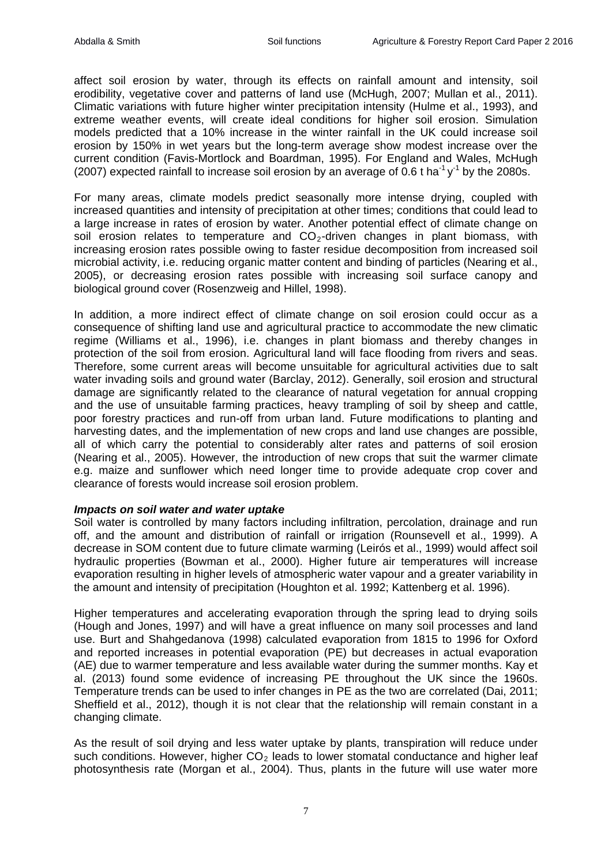affect soil erosion by water, through its effects on rainfall amount and intensity, soil erodibility, vegetative cover and patterns of land use (McHugh, 2007; Mullan et al., 2011). Climatic variations with future higher winter precipitation intensity (Hulme et al., 1993), and extreme weather events, will create ideal conditions for higher soil erosion. Simulation models predicted that a 10% increase in the winter rainfall in the UK could increase soil erosion by 150% in wet years but the long-term average show modest increase over the current condition (Favis-Mortlock and Boardman, 1995). For England and Wales, McHugh (2007) expected rainfall to increase soil erosion by an average of 0.6 t ha<sup>-1</sup> y<sup>-1</sup> by the 2080s.

For many areas, climate models predict seasonally more intense drying, coupled with increased quantities and intensity of precipitation at other times; conditions that could lead to a large increase in rates of erosion by water. Another potential effect of climate change on soil erosion relates to temperature and  $CO<sub>2</sub>$ -driven changes in plant biomass, with increasing erosion rates possible owing to faster residue decomposition from increased soil microbial activity, i.e. reducing organic matter content and binding of particles (Nearing et al., 2005), or decreasing erosion rates possible with increasing soil surface canopy and biological ground cover (Rosenzweig and Hillel, 1998).

In addition, a more indirect effect of climate change on soil erosion could occur as a consequence of shifting land use and agricultural practice to accommodate the new climatic regime (Williams et al., 1996), i.e. changes in plant biomass and thereby changes in protection of the soil from erosion. Agricultural land will face flooding from rivers and seas. Therefore, some current areas will become unsuitable for agricultural activities due to salt water invading soils and ground water (Barclay, 2012). Generally, soil erosion and structural damage are significantly related to the clearance of natural vegetation for annual cropping and the use of unsuitable farming practices, heavy trampling of soil by sheep and cattle, poor forestry practices and run-off from urban land. Future modifications to planting and harvesting dates, and the implementation of new crops and land use changes are possible, all of which carry the potential to considerably alter rates and patterns of soil erosion (Nearing et al., 2005). However, the introduction of new crops that suit the warmer climate e.g. maize and sunflower which need longer time to provide adequate crop cover and clearance of forests would increase soil erosion problem.

#### *Impacts on soil water and water uptake*

Soil water is controlled by many factors including infiltration, percolation, drainage and run off, and the amount and distribution of rainfall or irrigation (Rounsevell et al., 1999). A decrease in SOM content due to future climate warming (Leirós et al., 1999) would affect soil hydraulic properties (Bowman et al., 2000). Higher future air temperatures will increase evaporation resulting in higher levels of atmospheric water vapour and a greater variability in the amount and intensity of precipitation (Houghton et al. 1992; Kattenberg et al. 1996).

Higher temperatures and accelerating evaporation through the spring lead to drying soils (Hough and Jones, 1997) and will have a great influence on many soil processes and land use. Burt and Shahgedanova (1998) calculated evaporation from 1815 to 1996 for Oxford and reported increases in potential evaporation (PE) but decreases in actual evaporation (AE) due to warmer temperature and less available water during the summer months. Kay et al. (2013) found some evidence of increasing PE throughout the UK since the 1960s. Temperature trends can be used to infer changes in PE as the two are correlated (Dai, 2011; Sheffield et al., 2012), though it is not clear that the relationship will remain constant in a changing climate.

As the result of soil drying and less water uptake by plants, transpiration will reduce under such conditions. However, higher  $CO<sub>2</sub>$  leads to lower stomatal conductance and higher leaf photosynthesis rate (Morgan et al., 2004). Thus, plants in the future will use water more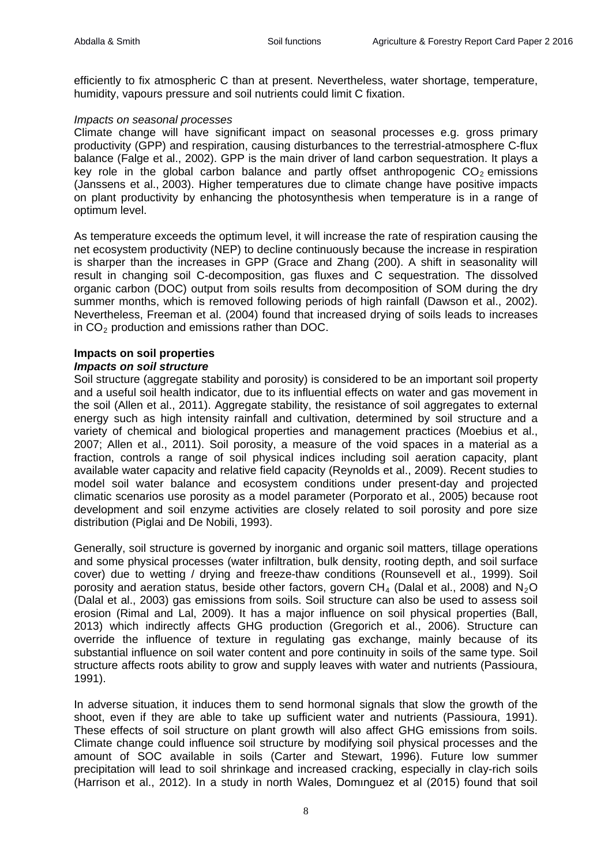efficiently to fix atmospheric C than at present. Nevertheless, water shortage, temperature, humidity, vapours pressure and soil nutrients could limit C fixation.

#### *Impacts on seasonal processes*

Climate change will have significant impact on seasonal processes e.g. gross primary productivity (GPP) and respiration, causing disturbances to the terrestrial-atmosphere C-flux balance (Falge et al., 2002). GPP is the main driver of land carbon sequestration. It plays a key role in the global carbon balance and partly offset anthropogenic  $CO<sub>2</sub>$  emissions (Janssens et al., [2003\)](http://onlinelibrary.wiley.com/doi/10.1002/2015RG000483/full%23rog20076-bib-0071). Higher temperatures due to climate change have positive impacts on plant productivity by enhancing the photosynthesis when temperature is in a range of optimum level.

As temperature exceeds the optimum level, it will increase the rate of respiration causing the net ecosystem productivity (NEP) to decline continuously because the increase in respiration is sharper than the increases in GPP (Grace and Zhang (200). A shift in seasonality will result in changing soil C-decomposition, gas fluxes and C sequestration. The dissolved organic carbon (DOC) output from soils results from decomposition of SOM during the dry summer months, which is removed following periods of high rainfall (Dawson et al., 2002). Nevertheless, Freeman et al. (2004) found that increased drying of soils leads to increases in  $CO<sub>2</sub>$  production and emissions rather than DOC.

# **Impacts on soil properties**

#### *Impacts on soil structure*

Soil structure (aggregate stability and porosity) is considered to be an important soil property and a useful soil health indicator, due to its influential effects on water and gas movement in the soil (Allen et al., 2011). Aggregate stability, the resistance of soil aggregates to external energy such as high intensity rainfall and cultivation, determined by soil structure and a variety of chemical and biological properties and management practices (Moebius et al., 2007; Allen et al., 2011). Soil porosity, a measure of the void spaces in a material as a fraction, controls a range of soil physical indices including soil aeration capacity, plant available water capacity and relative field capacity (Reynolds et al., 2009). Recent studies to model soil water balance and ecosystem conditions under present-day and projected climatic scenarios use porosity as a model parameter (Porporato et al., 2005) because root development and soil enzyme activities are closely related to soil porosity and pore size distribution (Piglai and De Nobili, 1993).

Generally, soil structure is governed by inorganic and organic soil matters, tillage operations and some physical processes (water infiltration, bulk density, rooting depth, and soil surface cover) due to wetting / drying and freeze-thaw conditions (Rounsevell et al., 1999). Soil porosity and aeration status, beside other factors, govern  $CH_4$  (Dalal et al., 2008) and N<sub>2</sub>O (Dalal et al., 2003) gas emissions from soils. Soil structure can also be used to assess soil erosion (Rimal and Lal, 2009). It has a major influence on soil physical properties (Ball, 2013) which indirectly affects GHG production (Gregorich et al., 2006). Structure can override the influence of texture in regulating gas exchange, mainly because of its substantial influence on soil water content and pore continuity in soils of the same type. Soil structure affects roots ability to grow and supply leaves with water and nutrients (Passioura, 1991).

In adverse situation, it induces them to send hormonal signals that slow the growth of the shoot, even if they are able to take up sufficient water and nutrients (Passioura, 1991). These effects of soil structure on plant growth will also affect GHG emissions from soils. Climate change could influence soil structure by modifying soil physical processes and the amount of SOC available in soils (Carter and Stewart, 1996). Future low summer precipitation will lead to soil shrinkage and increased cracking, especially in clay-rich soils (Harrison et al., 2012). In a study in north Wales, Domınguez et al (2015) found that soil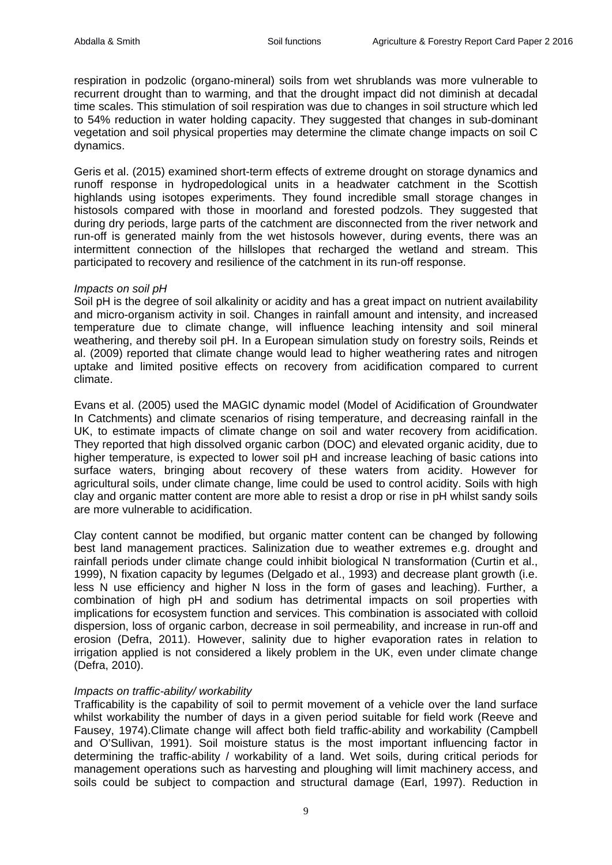respiration in podzolic (organo-mineral) soils from wet shrublands was more vulnerable to recurrent drought than to warming, and that the drought impact did not diminish at decadal time scales. This stimulation of soil respiration was due to changes in soil structure which led to 54% reduction in water holding capacity. They suggested that changes in sub-dominant vegetation and soil physical properties may determine the climate change impacts on soil C dynamics.

Geris et al. (2015) examined short-term effects of extreme drought on storage dynamics and runoff response in hydropedological units in a headwater catchment in the Scottish highlands using isotopes experiments. They found incredible small storage changes in histosols compared with those in moorland and forested podzols. They suggested that during dry periods, large parts of the catchment are disconnected from the river network and run-off is generated mainly from the wet histosols however, during events, there was an intermittent connection of the hillslopes that recharged the wetland and stream. This participated to recovery and resilience of the catchment in its run-off response.

#### *Impacts on soil pH*

Soil pH is the degree of soil alkalinity or acidity and has a great impact on nutrient availability and micro-organism activity in soil. Changes in rainfall amount and intensity, and increased temperature due to climate change, will influence leaching intensity and soil mineral weathering, and thereby soil pH. In a European simulation study on forestry soils, Reinds et al. (2009) reported that climate change would lead to higher weathering rates and nitrogen uptake and limited positive effects on recovery from acidification compared to current climate.

Evans et al. (2005) used the MAGIC dynamic model (Model of Acidification of Groundwater In Catchments) and climate scenarios of rising temperature, and decreasing rainfall in the UK, to estimate impacts of climate change on soil and water recovery from acidification. They reported that high dissolved organic carbon (DOC) and elevated organic acidity, due to higher temperature, is expected to lower soil pH and increase leaching of basic cations into surface waters, bringing about recovery of these waters from acidity. However for agricultural soils, under climate change, lime could be used to control acidity. Soils with high clay and organic matter content are more able to resist a drop or rise in pH whilst sandy soils are more vulnerable to acidification.

Clay content cannot be modified, but organic matter content can be changed by following best land management practices. Salinization due to weather extremes e.g. drought and rainfall periods under climate change could inhibit biological N transformation (Curtin et al., 1999), N fixation capacity by legumes (Delgado et al., 1993) and decrease plant growth (i.e. less N use efficiency and higher N loss in the form of gases and leaching). Further, a combination of high pH and sodium has detrimental impacts on soil properties with implications for ecosystem function and services. This combination is associated with colloid dispersion, loss of organic carbon, decrease in soil permeability, and increase in run-off and erosion (Defra, 2011). However, salinity due to higher evaporation rates in relation to irrigation applied is not considered a likely problem in the UK, even under climate change (Defra, 2010).

# *Impacts on traffic-ability/ workability*

Trafficability is the capability of soil to permit movement of a vehicle over the land surface whilst workability the number of days in a given period suitable for field work (Reeve and Fausey, 1974).Climate change will affect both field traffic-ability and workability (Campbell and O'Sullivan, 1991). Soil moisture status is the most important influencing factor in determining the traffic-ability / workability of a land. Wet soils, during critical periods for management operations such as harvesting and ploughing will limit machinery access, and soils could be subject to compaction and structural damage (Earl, 1997). Reduction in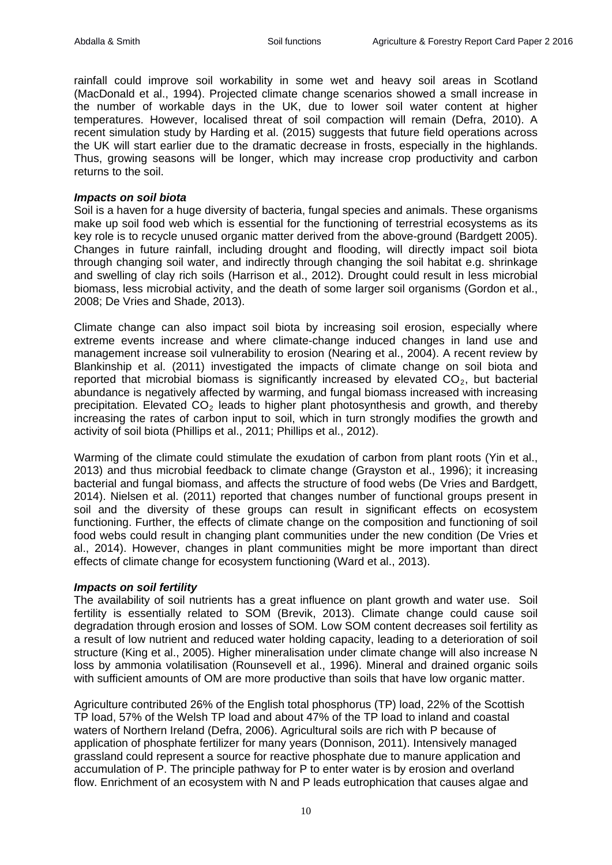rainfall could improve soil workability in some wet and heavy soil areas in Scotland (MacDonald et al., 1994). Projected climate change scenarios showed a small increase in the number of workable days in the UK, due to lower soil water content at higher temperatures. However, localised threat of soil compaction will remain (Defra, 2010). A recent simulation study by Harding et al. (2015) suggests that future field operations across the UK will start earlier due to the dramatic decrease in frosts, especially in the highlands. Thus, growing seasons will be longer, which may increase crop productivity and carbon returns to the soil.

#### *Impacts on soil biota*

Soil is a haven for a huge diversity of bacteria, fungal species and animals. These organisms make up soil food web which is essential for the functioning of terrestrial ecosystems as its key role is to recycle unused organic matter derived from the above-ground (Bardgett 2005). Changes in future rainfall, including drought and flooding, will directly impact soil biota through changing soil water, and indirectly through changing the soil habitat e.g. shrinkage and swelling of clay rich soils (Harrison et al., 2012). Drought could result in less microbial biomass, less microbial activity, and the death of some larger soil organisms (Gordon et al., 2008; De Vries and Shade, 2013).

Climate change can also impact soil biota by increasing soil erosion, especially where extreme events increase and where climate-change induced changes in land use and management increase soil vulnerability to erosion (Nearing et al., 2004). A recent review by Blankinship et al. (2011) investigated the impacts of climate change on soil biota and reported that microbial biomass is significantly increased by elevated  $CO<sub>2</sub>$ , but bacterial abundance is negatively affected by warming, and fungal biomass increased with increasing precipitation. Elevated  $CO<sub>2</sub>$  leads to higher plant photosynthesis and growth, and thereby increasing the rates of carbon input to soil, which in turn strongly modifies the growth and activity of soil biota (Phillips et al., 2011; Phillips et al., 2012).

Warming of the climate could stimulate the exudation of carbon from plant roots (Yin et al., 2013) and thus microbial feedback to climate change (Grayston et al., 1996); it increasing bacterial and fungal biomass, and affects the structure of food webs (De Vries and Bardgett, 2014). Nielsen et al. (2011) reported that changes number of functional groups present in soil and the diversity of these groups can result in significant effects on ecosystem functioning. Further, the effects of climate change on the composition and functioning of soil food webs could result in changing plant communities under the new condition (De Vries et al., 2014). However, changes in plant communities might be more important than direct effects of climate change for ecosystem functioning (Ward et al., 2013).

#### *Impacts on soil fertility*

The availability of soil nutrients has a great influence on plant growth and water use. Soil fertility is essentially related to SOM (Brevik, 2013). Climate change could cause soil degradation through erosion and losses of SOM. Low SOM content decreases soil fertility as a result of low nutrient and reduced water holding capacity, leading to a deterioration of soil structure (King et al., 2005). Higher mineralisation under climate change will also increase N loss by ammonia volatilisation (Rounsevell et al., 1996). Mineral and drained organic soils with sufficient amounts of OM are more productive than soils that have low organic matter.

Agriculture contributed 26% of the English total phosphorus (TP) load, 22% of the Scottish TP load, 57% of the Welsh TP load and about 47% of the TP load to inland and coastal waters of Northern Ireland (Defra, 2006). Agricultural soils are rich with P because of application of phosphate fertilizer for many years (Donnison, 2011). Intensively managed grassland could represent a source for reactive phosphate due to manure application and accumulation of P. The principle pathway for P to enter water is by erosion and overland flow. Enrichment of an ecosystem with N and P leads eutrophication that causes algae and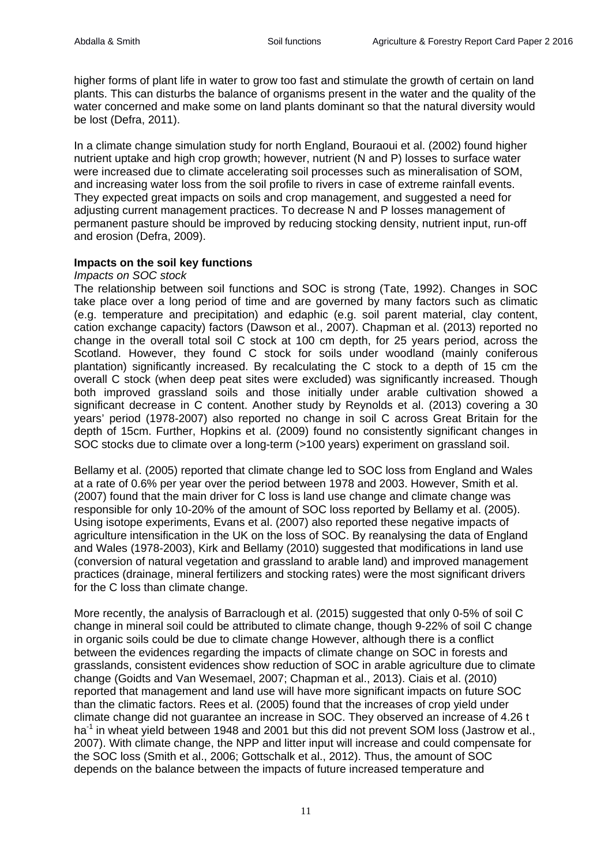higher forms of plant life in water to grow too fast and stimulate the growth of certain on land plants. This can disturbs the balance of organisms present in the water and the quality of the water concerned and make some on land plants dominant so that the natural diversity would be lost (Defra, 2011).

In a climate change simulation study for north England, Bouraoui et al. (2002) found higher nutrient uptake and high crop growth; however, nutrient (N and P) losses to surface water were increased due to climate accelerating soil processes such as mineralisation of SOM, and increasing water loss from the soil profile to rivers in case of extreme rainfall events. They expected great impacts on soils and crop management, and suggested a need for adjusting current management practices. To decrease N and P losses management of permanent pasture should be improved by reducing stocking density, nutrient input, run-off and erosion (Defra, 2009).

# **Impacts on the soil key functions**

#### *Impacts on SOC stock*

The relationship between soil functions and SOC is strong (Tate, 1992). Changes in SOC take place over a long period of time and are governed by many factors such as climatic (e.g. temperature and precipitation) and edaphic (e.g. soil parent material, clay content, cation exchange capacity) factors (Dawson et al., 2007). Chapman et al. (2013) reported no change in the overall total soil C stock at 100 cm depth, for 25 years period, across the Scotland. However, they found C stock for soils under woodland (mainly coniferous plantation) significantly increased. By recalculating the C stock to a depth of 15 cm the overall C stock (when deep peat sites were excluded) was significantly increased. Though both improved grassland soils and those initially under arable cultivation showed a significant decrease in C content. Another study by Reynolds et al. (2013) covering a 30 years' period (1978-2007) also reported no change in soil C across Great Britain for the depth of 15cm. Further, Hopkins et al. (2009) found no consistently significant changes in SOC stocks due to climate over a long-term (>100 years) experiment on grassland soil.

Bellamy et al. (2005) reported that climate change led to SOC loss from England and Wales at a rate of 0.6% per year over the period between 1978 and 2003. However, Smith et al. (2007) found that the main driver for C loss is land use change and climate change was responsible for only 10-20% of the amount of SOC loss reported by Bellamy et al. (2005). Using isotope experiments, Evans et al. (2007) also reported these negative impacts of agriculture intensification in the UK on the loss of SOC. By reanalysing the data of England and Wales (1978-2003), Kirk and Bellamy (2010) suggested that modifications in land use (conversion of natural vegetation and grassland to arable land) and improved management practices (drainage, mineral fertilizers and stocking rates) were the most significant drivers for the C loss than climate change.

More recently, the analysis of Barraclough et al. (2015) suggested that only 0-5% of soil C change in mineral soil could be attributed to climate change, though 9-22% of soil C change in organic soils could be due to climate change However, although there is a conflict between the evidences regarding the impacts of climate change on SOC in forests and grasslands, consistent evidences show reduction of SOC in arable agriculture due to climate change (Goidts and Van Wesemael, 2007; Chapman et al., 2013). Ciais et al. (2010) reported that management and land use will have more significant impacts on future SOC than the climatic factors. Rees et al. (2005) found that the increases of crop yield under climate change did not guarantee an increase in SOC. They observed an increase of 4.26 t ha<sup>-1</sup> in wheat yield between 1948 and 2001 but this did not prevent SOM loss (Jastrow et al., 2007). With climate change, the NPP and litter input will increase and could compensate for the SOC loss (Smith et al., 2006; Gottschalk et al., 2012). Thus, the amount of SOC depends on the balance between the impacts of future increased temperature and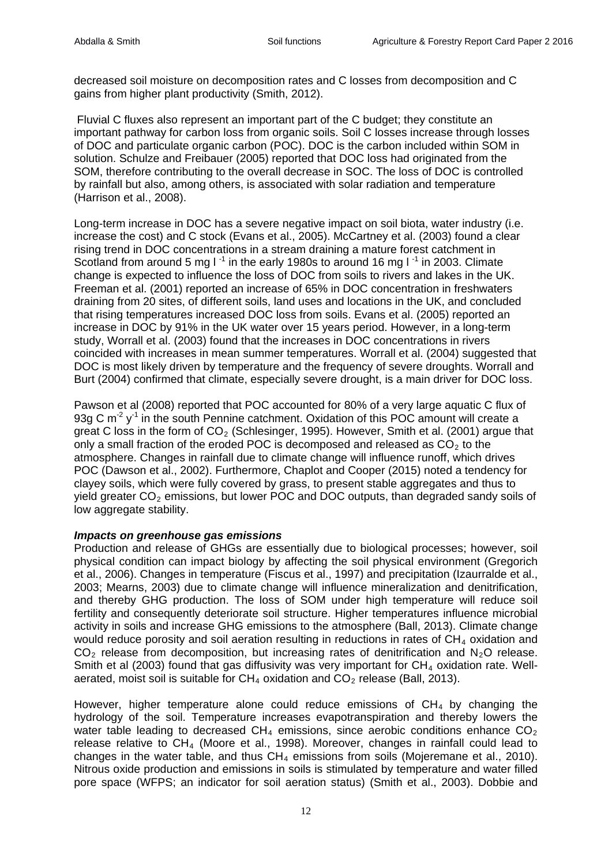decreased soil moisture on decomposition rates and C losses from decomposition and C gains from higher plant productivity (Smith, 2012).

Fluvial C fluxes also represent an important part of the C budget; they constitute an important pathway for carbon loss from organic soils. Soil C losses increase through losses of DOC and particulate organic carbon (POC). DOC is the carbon included within SOM in solution. Schulze and Freibauer (2005) reported that DOC loss had originated from the SOM, therefore contributing to the overall decrease in SOC. The loss of DOC is controlled by rainfall but also, among others, is associated with solar radiation and temperature (Harrison et al., 2008).

Long-term increase in DOC has a severe negative impact on soil biota, water industry (i.e. increase the cost) and C stock (Evans et al., 2005). McCartney et al. (2003) found a clear rising trend in DOC concentrations in a stream draining a mature forest catchment in Scotland from around 5 mg  $I^{-1}$  in the early 1980s to around 16 mg  $I^{-1}$  in 2003. Climate change is expected to influence the loss of DOC from soils to rivers and lakes in the UK. Freeman et al. (2001) reported an increase of 65% in DOC concentration in freshwaters draining from 20 sites, of different soils, land uses and locations in the UK, and concluded that rising temperatures increased DOC loss from soils. Evans et al. (2005) reported an increase in DOC by 91% in the UK water over 15 years period. However, in a long-term study, Worrall et al. (2003) found that the increases in DOC concentrations in rivers coincided with increases in mean summer temperatures. Worrall et al. (2004) suggested that DOC is most likely driven by temperature and the frequency of severe droughts. Worrall and Burt (2004) confirmed that climate, especially severe drought, is a main driver for DOC loss.

Pawson et al (2008) reported that POC accounted for 80% of a very large aquatic C flux of 93g C  $m^2$  y<sup>-1</sup> in the south Pennine catchment. Oxidation of this POC amount will create a great C loss in the form of  $CO<sub>2</sub>$  (Schlesinger, 1995). However, Smith et al. (2001) argue that only a small fraction of the eroded POC is decomposed and released as  $CO<sub>2</sub>$  to the atmosphere. Changes in rainfall due to climate change will influence runoff, which drives POC (Dawson et al., 2002). Furthermore, Chaplot and Cooper (2015) noted a tendency for clayey soils, which were fully covered by grass, to present stable aggregates and thus to yield greater  $CO<sub>2</sub>$  emissions, but lower POC and DOC outputs, than degraded sandy soils of low aggregate stability.

# *Impacts on greenhouse gas emissions*

Production and release of GHGs are essentially due to biological processes; however, soil physical condition can impact biology by affecting the soil physical environment (Gregorich et al., 2006). Changes in temperature (Fiscus et al., 1997) and precipitation (Izaurralde et al., 2003; Mearns, 2003) due to climate change will influence mineralization and denitrification, and thereby GHG production. The loss of SOM under high temperature will reduce soil fertility and consequently deteriorate soil structure. Higher temperatures influence microbial activity in soils and increase GHG emissions to the atmosphere (Ball, 2013). Climate change would reduce porosity and soil aeration resulting in reductions in rates of  $CH<sub>4</sub>$  oxidation and  $CO<sub>2</sub>$  release from decomposition, but increasing rates of denitrification and N<sub>2</sub>O release. Smith et al (2003) found that gas diffusivity was very important for  $CH<sub>4</sub>$  oxidation rate. Wellaerated, moist soil is suitable for  $CH_4$  oxidation and  $CO_2$  release (Ball, 2013).

However, higher temperature alone could reduce emissions of  $CH<sub>4</sub>$  by changing the hydrology of the soil. Temperature increases evapotranspiration and thereby lowers the water table leading to decreased  $CH_4$  emissions, since aerobic conditions enhance  $CO<sub>2</sub>$ release relative to  $CH_4$  (Moore et al., 1998). Moreover, changes in rainfall could lead to changes in the water table, and thus  $CH_4$  emissions from soils (Mojeremane et al., 2010). Nitrous oxide production and emissions in soils is stimulated by temperature and water filled pore space (WFPS; an indicator for soil aeration status) (Smith et al., 2003). Dobbie and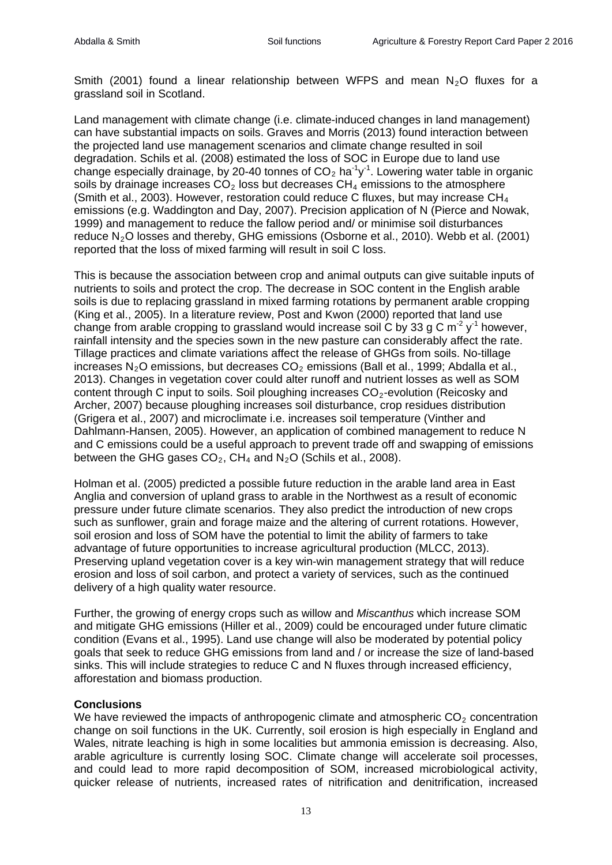Smith (2001) found a linear relationship between WFPS and mean  $N_2O$  fluxes for a grassland soil in Scotland.

Land management with climate change (i.e. climate-induced changes in land management) can have substantial impacts on soils. Graves and Morris (2013) found interaction between the projected land use management scenarios and climate change resulted in soil degradation. Schils et al. (2008) estimated the loss of SOC in Europe due to land use change especially drainage, by 20-40 tonnes of  $CO<sub>2</sub>$  ha<sup>-1</sup>y<sup>-1</sup>. Lowering water table in organic soils by drainage increases  $CO<sub>2</sub>$  loss but decreases  $CH<sub>4</sub>$  emissions to the atmosphere (Smith et al., 2003). However, restoration could reduce C fluxes, but may increase  $CH_4$ emissions (e.g. Waddington and Day, 2007). Precision application of N (Pierce and Nowak, 1999) and management to reduce the fallow period and/ or minimise soil disturbances reduce  $N_2$ O losses and thereby, GHG emissions (Osborne et al., 2010). Webb et al. (2001) reported that the loss of mixed farming will result in soil C loss.

This is because the association between crop and animal outputs can give suitable inputs of nutrients to soils and protect the crop. The decrease in SOC content in the English arable soils is due to replacing grassland in mixed farming rotations by permanent arable cropping (King et al., 2005). In a literature review, Post and Kwon (2000) reported that land use change from arable cropping to grassland would increase soil C by 33 g C m<sup>-2</sup> y<sup>-1</sup> however, rainfall intensity and the species sown in the new pasture can considerably affect the rate. Tillage practices and climate variations affect the release of GHGs from soils. No-tillage increases  $N_2O$  emissions, but decreases  $CO_2$  emissions (Ball et al., 1999; Abdalla et al., 2013). Changes in vegetation cover could alter runoff and nutrient losses as well as SOM content through C input to soils. Soil ploughing increases  $CO<sub>2</sub>$ -evolution (Reicosky and Archer, 2007) because ploughing increases soil disturbance, crop residues distribution (Grigera et al., 2007) and microclimate i.e. increases soil temperature (Vinther and Dahlmann-Hansen, 2005). However, an application of combined management to reduce N and C emissions could be a useful approach to prevent trade off and swapping of emissions between the GHG gases  $CO<sub>2</sub>$ , CH<sub>4</sub> and N<sub>2</sub>O (Schils et al., 2008).

Holman et al. (2005) predicted a possible future reduction in the arable land area in East Anglia and conversion of upland grass to arable in the Northwest as a result of economic pressure under future climate scenarios. They also predict the introduction of new crops such as sunflower, grain and forage maize and the altering of current rotations. However, soil erosion and loss of SOM have the potential to limit the ability of farmers to take advantage of future opportunities to increase agricultural production (MLCC, 2013). Preserving upland vegetation cover is a key win-win management strategy that will reduce erosion and loss of soil carbon, and protect a variety of services, such as the continued delivery of a high quality water resource.

Further, the growing of energy crops such as willow and *Miscanthus* which increase SOM and mitigate GHG emissions (Hiller et al., 2009) could be encouraged under future climatic condition (Evans et al., 1995). Land use change will also be moderated by potential policy goals that seek to reduce GHG emissions from land and / or increase the size of land-based sinks. This will include strategies to reduce C and N fluxes through increased efficiency, afforestation and biomass production.

# **Conclusions**

We have reviewed the impacts of anthropogenic climate and atmospheric  $CO<sub>2</sub>$  concentration change on soil functions in the UK. Currently, soil erosion is high especially in England and Wales, nitrate leaching is high in some localities but ammonia emission is decreasing. Also, arable agriculture is currently losing SOC. Climate change will accelerate soil processes, and could lead to more rapid decomposition of SOM, increased microbiological activity, quicker release of nutrients, increased rates of nitrification and denitrification, increased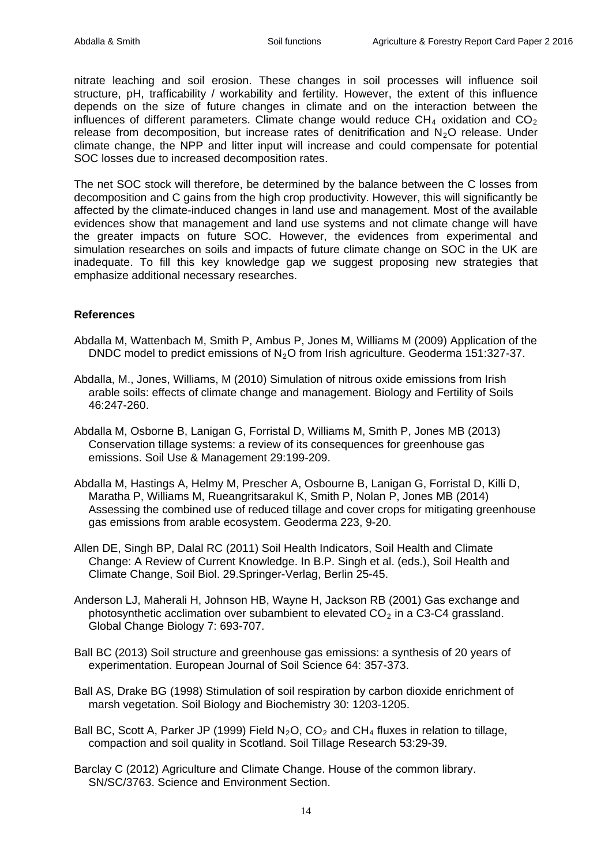nitrate leaching and soil erosion. These changes in soil processes will influence soil structure, pH, trafficability / workability and fertility. However, the extent of this influence depends on the size of future changes in climate and on the interaction between the influences of different parameters. Climate change would reduce  $CH<sub>4</sub>$  oxidation and  $CO<sub>2</sub>$ release from decomposition, but increase rates of denitrification and  $N_2O$  release. Under climate change, the NPP and litter input will increase and could compensate for potential SOC losses due to increased decomposition rates.

The net SOC stock will therefore, be determined by the balance between the C losses from decomposition and C gains from the high crop productivity. However, this will significantly be affected by the climate-induced changes in land use and management. Most of the available evidences show that management and land use systems and not climate change will have the greater impacts on future SOC. However, the evidences from experimental and simulation researches on soils and impacts of future climate change on SOC in the UK are inadequate. To fill this key knowledge gap we suggest proposing new strategies that emphasize additional necessary researches.

# **References**

- Abdalla M, Wattenbach M, Smith P, Ambus P, Jones M, Williams M (2009) Application of the DNDC model to predict emissions of  $N_2O$  from Irish agriculture. Geoderma 151:327-37.
- Abdalla, M., Jones, Williams, M (2010) Simulation of nitrous oxide emissions from Irish arable soils: effects of climate change and management. Biology and Fertility of Soils 46:247-260.
- Abdalla M, Osborne B, Lanigan G, Forristal D, Williams M, Smith P, Jones MB (2013) Conservation tillage systems: a review of its consequences for greenhouse gas emissions. Soil Use & Management 29:199-209.
- Abdalla M, Hastings A, Helmy M, Prescher A, Osbourne B, Lanigan G, Forristal D, Killi D, Maratha P, Williams M, Rueangritsarakul K, Smith P, Nolan P, Jones MB (2014) Assessing the combined use of reduced tillage and cover crops for mitigating greenhouse gas emissions from arable ecosystem. Geoderma 223, 9-20.
- Allen DE, Singh BP, Dalal RC (2011) Soil Health Indicators, Soil Health and Climate Change: A Review of Current Knowledge. In B.P. Singh et al. (eds.), Soil Health and Climate Change, Soil Biol. 29.Springer-Verlag, Berlin 25-45.
- Anderson LJ, Maherali H, Johnson HB, Wayne H, Jackson RB (2001) Gas exchange and photosynthetic acclimation over subambient to elevated  $CO<sub>2</sub>$  in a C3-C4 grassland. Global Change Biology 7: 693-707.
- Ball BC (2013) Soil structure and greenhouse gas emissions: a synthesis of 20 years of experimentation. European Journal of Soil Science 64: 357-373.
- Ball AS, Drake BG (1998) Stimulation of soil respiration by carbon dioxide enrichment of marsh vegetation. Soil Biology and Biochemistry 30: 1203-1205.
- Ball BC, Scott A, Parker JP (1999) Field  $N_2O$ ,  $CO_2$  and  $CH_4$  fluxes in relation to tillage, compaction and soil quality in Scotland. Soil Tillage Research 53:29-39.
- Barclay C (2012) Agriculture and Climate Change. House of the common library. SN/SC/3763. Science and Environment Section.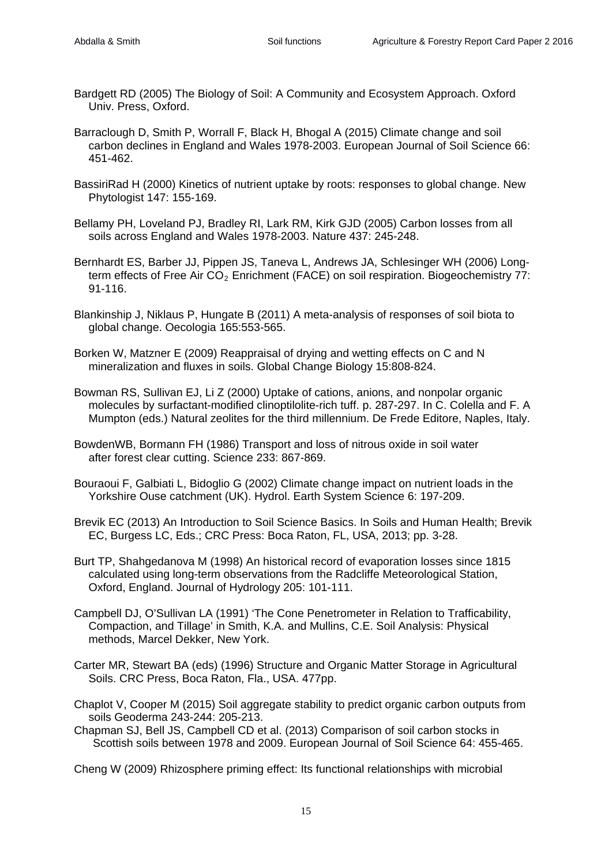- Bardgett RD (2005) The Biology of Soil: A Community and Ecosystem Approach. Oxford Univ. Press, Oxford.
- Barraclough D, Smith P, Worrall F, Black H, Bhogal A (2015) Climate change and soil carbon declines in England and Wales 1978-2003. European Journal of Soil Science 66: 451-462.
- BassiriRad H (2000) Kinetics of nutrient uptake by roots: responses to global change. New Phytologist 147: 155-169.
- Bellamy PH, Loveland PJ, Bradley RI, Lark RM, Kirk GJD (2005) Carbon losses from all soils across England and Wales 1978-2003. Nature 437: 245-248.
- Bernhardt ES, Barber JJ, Pippen JS, Taneva L, Andrews JA, Schlesinger WH (2006) Longterm effects of Free Air  $CO<sub>2</sub>$  Enrichment (FACE) on soil respiration. Biogeochemistry 77: 91-116.
- Blankinship J, Niklaus P, Hungate B (2011) A meta-analysis of responses of soil biota to global change. Oecologia 165:553-565.
- Borken W, Matzner E (2009) Reappraisal of drying and wetting effects on C and N mineralization and fluxes in soils. Global Change Biology 15:808-824.
- Bowman RS, Sullivan EJ, Li Z (2000) Uptake of cations, anions, and nonpolar organic molecules by surfactant-modified clinoptilolite-rich tuff. p. 287-297. In C. Colella and F. A Mumpton (eds.) Natural zeolites for the third millennium. De Frede Editore, Naples, Italy.
- BowdenWB, Bormann FH (1986) Transport and loss of nitrous oxide in soil water after forest clear cutting. Science 233: 867-869.
- Bouraoui F, Galbiati L, Bidoglio G (2002) Climate change impact on nutrient loads in the Yorkshire Ouse catchment (UK). Hydrol. Earth System Science 6: 197-209.
- Brevik EC (2013) An Introduction to Soil Science Basics. In Soils and Human Health; Brevik EC, Burgess LC, Eds.; CRC Press: Boca Raton, FL, USA, 2013; pp. 3-28.
- Burt TP, Shahgedanova M (1998) An historical record of evaporation losses since 1815 calculated using long-term observations from the Radcliffe Meteorological Station, Oxford, England. Journal of Hydrology 205: 101-111.
- Campbell DJ, O'Sullivan LA (1991) 'The Cone Penetrometer in Relation to Trafficability, Compaction, and Tillage' in Smith, K.A. and Mullins, C.E. Soil Analysis: Physical methods, Marcel Dekker, New York.
- Carter MR, Stewart BA (eds) (1996) Structure and Organic Matter Storage in Agricultural Soils. CRC Press, Boca Raton, Fla., USA. 477pp.
- Chaplot V, Cooper M (2015) Soil aggregate stability to predict organic carbon outputs from soils [Geoderma](http://www.sciencedirect.com/science/journal/00167061) 243-244: 205-213.
- Chapman SJ, Bell JS, Campbell CD et al. (2013) Comparison of soil carbon stocks in Scottish soils between 1978 and 2009. European Journal of Soil Science 64: 455-465.

Cheng W (2009) Rhizosphere priming effect: Its functional relationships with microbial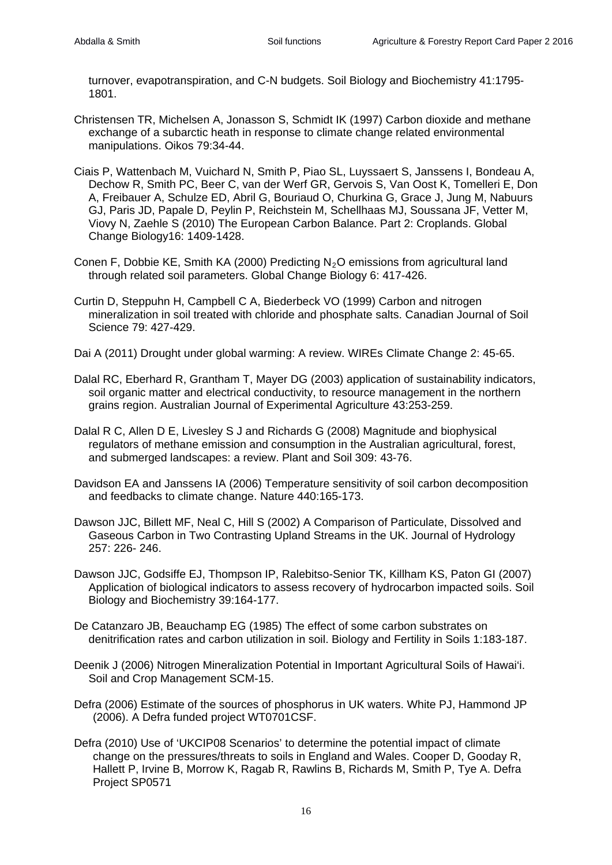turnover, evapotranspiration, and C-N budgets. Soil Biology and Biochemistry 41:1795- 1801.

- Christensen TR, Michelsen A, Jonasson S, Schmidt IK (1997) Carbon dioxide and methane exchange of a subarctic heath in response to climate change related environmental manipulations. Oikos 79:34-44.
- Ciais P, Wattenbach M, Vuichard N, Smith P, Piao SL, Luyssaert S, Janssens I, Bondeau A, Dechow R, Smith PC, Beer C, van der Werf GR, Gervois S, Van Oost K, Tomelleri E, Don A, Freibauer A, Schulze ED, Abril G, Bouriaud O, Churkina G, Grace J, Jung M, Nabuurs GJ, Paris JD, Papale D, Peylin P, Reichstein M, Schellhaas MJ, Soussana JF, Vetter M, Viovy N, Zaehle S (2010) The European Carbon Balance. Part 2: Croplands. Global Change Biology16: 1409-1428.
- Conen F, Dobbie KE, Smith KA (2000) Predicting  $N<sub>2</sub>O$  emissions from agricultural land through related soil parameters. Global Change Biology 6: 417-426.
- Curtin D, Steppuhn H, Campbell C A, Biederbeck VO (1999) Carbon and nitrogen mineralization in soil treated with chloride and phosphate salts. Canadian Journal of Soil Science 79: 427-429.
- Dai A (2011) Drought under global warming: A review. WIREs Climate Change 2: 45-65.
- Dalal RC, Eberhard R, Grantham T, Mayer DG (2003) application of sustainability indicators, soil organic matter and electrical conductivity, to resource management in the northern grains region. Australian Journal of Experimental Agriculture 43:253-259.
- Dalal R C, Allen D E, Livesley S J and Richards G (2008) Magnitude and biophysical regulators of methane emission and consumption in the Australian agricultural, forest, and submerged landscapes: a review. Plant and Soil 309: 43-76.
- Davidson EA and Janssens IA (2006) Temperature sensitivity of soil carbon decomposition and feedbacks to climate change. Nature 440:165-173.
- Dawson JJC, Billett MF, Neal C, Hill S (2002) A Comparison of Particulate, Dissolved and Gaseous Carbon in Two Contrasting Upland Streams in the UK. Journal of Hydrology 257: 226- 246.
- Dawson JJC, Godsiffe EJ, Thompson IP, Ralebitso-Senior TK, Killham KS, Paton GI (2007) Application of biological indicators to assess recovery of hydrocarbon impacted soils. Soil Biology and Biochemistry 39:164-177.
- De Catanzaro JB, Beauchamp EG (1985) The effect of some carbon substrates on denitrification rates and carbon utilization in soil. Biology and Fertility in Soils 1:183-187.
- Deenik J (2006) Nitrogen Mineralization Potential in Important Agricultural Soils of Hawai'i. Soil and Crop Management SCM-15.
- Defra (2006) Estimate of the sources of phosphorus in UK waters. White PJ, Hammond JP (2006). A Defra funded project WT0701CSF.
- Defra (2010) Use of 'UKCIP08 Scenarios' to determine the potential impact of climate change on the pressures/threats to soils in England and Wales. Cooper D, Gooday R, Hallett P, Irvine B, Morrow K, Ragab R, Rawlins B, Richards M, Smith P, Tye A. Defra Project SP0571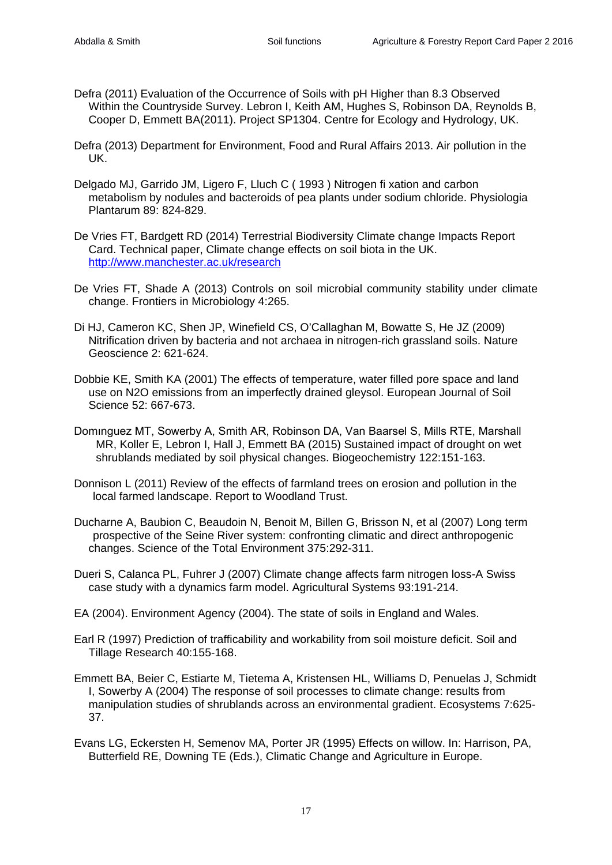- Defra (2011) Evaluation of the Occurrence of Soils with pH Higher than 8.3 Observed Within the Countryside Survey. Lebron I, Keith AM, Hughes S, Robinson DA, Reynolds B, Cooper D, Emmett BA(2011). Project SP1304. Centre for Ecology and Hydrology, UK.
- Defra (2013) Department for Environment, Food and Rural Affairs 2013. Air pollution in the UK.
- Delgado MJ, Garrido JM, Ligero F, Lluch C ( 1993 ) Nitrogen fi xation and carbon metabolism by nodules and bacteroids of pea plants under sodium chloride. Physiologia Plantarum 89: 824-829.
- De Vries FT, Bardgett RD (2014) Terrestrial Biodiversity Climate change Impacts Report Card. Technical paper, Climate change effects on soil biota in the UK. <http://www.manchester.ac.uk/research>
- De Vries FT, Shade A (2013) Controls on soil microbial community stability under climate change. Frontiers in Microbiology 4:265.
- Di HJ, Cameron KC, Shen JP, Winefield CS, O'Callaghan M, Bowatte S, He JZ (2009) Nitrification driven by bacteria and not archaea in nitrogen-rich grassland soils. Nature Geoscience 2: 621-624.
- Dobbie KE, Smith KA (2001) The effects of temperature, water filled pore space and land use on N2O emissions from an imperfectly drained gleysol. European Journal of Soil Science 52: 667-673.
- Domınguez MT, Sowerby A, Smith AR, Robinson DA, Van Baarsel S, Mills RTE, Marshall MR, Koller E, Lebron I, Hall J, Emmett BA (2015) Sustained impact of drought on wet shrublands mediated by soil physical changes. Biogeochemistry 122:151-163.
- Donnison L (2011) Review of the effects of farmland trees on erosion and pollution in the local farmed landscape. Report to Woodland Trust.
- Ducharne A, Baubion C, Beaudoin N, Benoit M, Billen G, Brisson N, et al (2007) Long term prospective of the Seine River system: confronting climatic and direct anthropogenic changes. Science of the Total Environment 375:292-311.
- Dueri S, Calanca PL, Fuhrer J (2007) Climate change affects farm nitrogen loss-A Swiss case study with a dynamics farm model. Agricultural Systems 93:191-214.
- EA (2004). Environment Agency (2004). The state of soils in England and Wales.
- Earl R (1997) Prediction of trafficability and workability from soil moisture deficit. Soil and Tillage Research 40:155-168.
- Emmett BA, Beier C, Estiarte M, Tietema A, Kristensen HL, Williams D, Penuelas J, Schmidt I, Sowerby A (2004) The response of soil processes to climate change: results from manipulation studies of shrublands across an environmental gradient. Ecosystems 7:625- 37.
- Evans LG, Eckersten H, Semenov MA, Porter JR (1995) Effects on willow. In: Harrison, PA, Butterfield RE, Downing TE (Eds.), Climatic Change and Agriculture in Europe.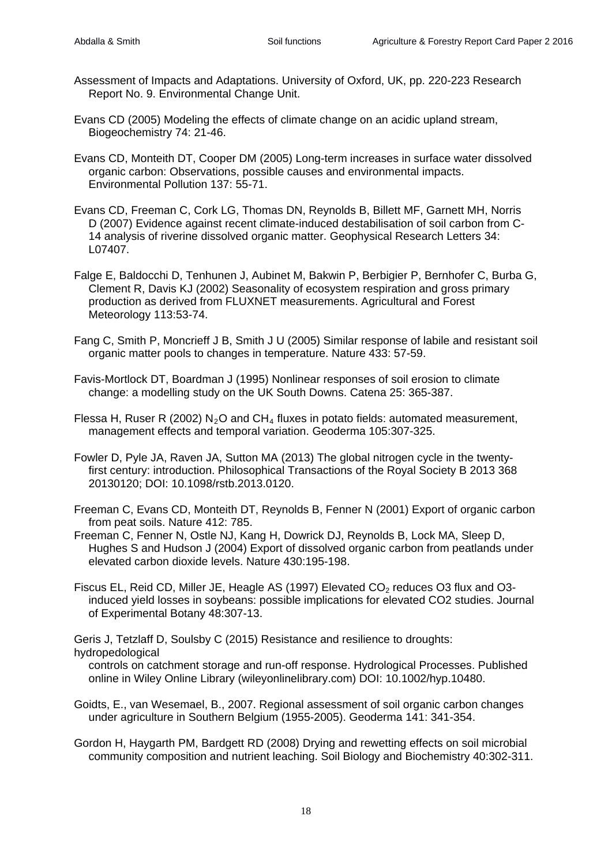- Assessment of Impacts and Adaptations. University of Oxford, UK, pp. 220-223 Research Report No. 9. Environmental Change Unit.
- Evans CD (2005) Modeling the effects of climate change on an acidic upland stream, Biogeochemistry 74: 21-46.

Evans CD, Monteith DT, Cooper DM (2005) Long-term increases in surface water dissolved organic carbon: Observations, possible causes and environmental impacts. Environmental Pollution 137: 55-71.

Evans CD, Freeman C, Cork LG, Thomas DN, Reynolds B, Billett MF, Garnett MH, Norris D (2007) Evidence against recent climate-induced destabilisation of soil carbon from C-14 analysis of riverine dissolved organic matter. Geophysical Research Letters 34: L07407.

Falge E, Baldocchi D, Tenhunen J, Aubinet M, Bakwin P, Berbigier P, Bernhofer C, Burba G, Clement R, Davis KJ (2002) Seasonality of ecosystem respiration and gross primary production as derived from FLUXNET measurements. Agricultural and Forest Meteorology 113:53-74.

Fang C, Smith P, Moncrieff J B, Smith J U (2005) Similar response of labile and resistant soil organic matter pools to changes in temperature. Nature 433: 57-59.

Favis-Mortlock DT, Boardman J (1995) Nonlinear responses of soil erosion to climate change: a modelling study on the UK South Downs. Catena 25: 365-387.

Flessa H, Ruser R (2002) N<sub>2</sub>O and CH<sub>4</sub> fluxes in potato fields: automated measurement, management effects and temporal variation. Geoderma 105:307-325.

Fowler D, Pyle JA, Raven JA, Sutton MA (2013) The global nitrogen cycle in the twentyfirst century: introduction. Philosophical Transactions of the Royal Society B 2013 368 20130120; DOI: 10.1098/rstb.2013.0120.

Freeman C, Evans CD, Monteith DT, Reynolds B, Fenner N (2001) Export of organic carbon from peat soils. Nature 412: 785.

- Freeman C, Fenner N, Ostle NJ, Kang H, Dowrick DJ, Reynolds B, Lock MA, Sleep D, Hughes S and Hudson J (2004) Export of dissolved organic carbon from peatlands under elevated carbon dioxide levels. Nature 430:195-198.
- Fiscus EL, Reid CD, Miller JE, Heagle AS (1997) Elevated  $CO<sub>2</sub>$  reduces O3 flux and O3induced yield losses in soybeans: possible implications for elevated CO2 studies. Journal of Experimental Botany 48:307-13.

Geris J, Tetzlaff D, Soulsby C (2015) Resistance and resilience to droughts:

hydropedological

controls on catchment storage and run-off response. Hydrological Processes. Published online in Wiley Online Library (wileyonlinelibrary.com) DOI: 10.1002/hyp.10480.

Goidts, E., van Wesemael, B., 2007. Regional assessment of soil organic carbon changes under agriculture in Southern Belgium (1955-2005). Geoderma 141: 341-354.

Gordon H, Haygarth PM, Bardgett RD (2008) Drying and rewetting effects on soil microbial community composition and nutrient leaching. Soil Biology and Biochemistry 40:302-311.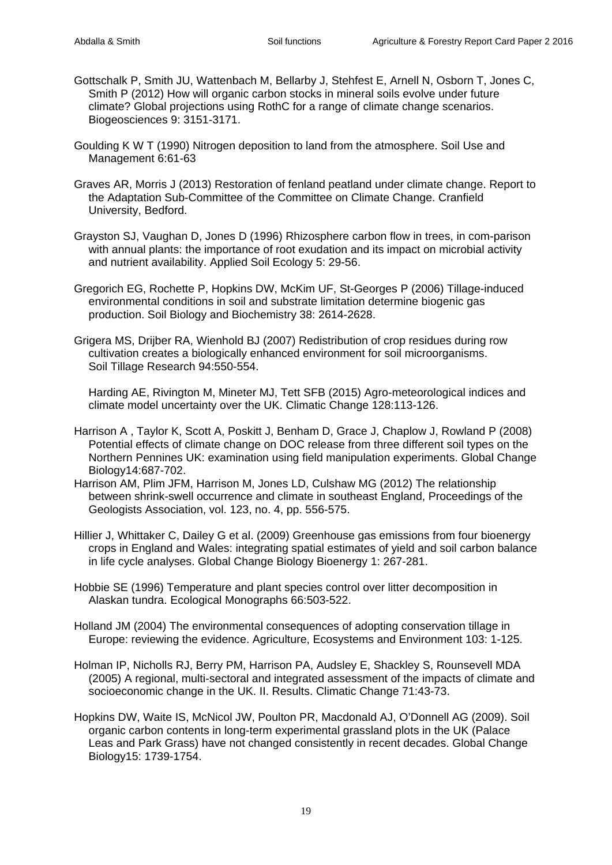- Gottschalk P, Smith JU, Wattenbach M, Bellarby J, Stehfest E, Arnell N, Osborn T, Jones C, Smith P (2012) How will organic carbon stocks in mineral soils evolve under future climate? Global projections using RothC for a range of climate change scenarios. Biogeosciences 9: 3151-3171.
- Goulding K W T (1990) Nitrogen deposition to land from the atmosphere. Soil Use and Management 6:61-63
- Graves AR, Morris J (2013) Restoration of fenland peatland under climate change. Report to the Adaptation Sub-Committee of the Committee on Climate Change. Cranfield University, Bedford.
- Grayston SJ, Vaughan D, Jones D (1996) Rhizosphere carbon flow in trees, in com-parison with annual plants: the importance of root exudation and its impact on microbial activity and nutrient availability. Applied Soil Ecology 5: 29-56.
- Gregorich EG, Rochette P, Hopkins DW, McKim UF, St-Georges P (2006) Tillage-induced environmental conditions in soil and substrate limitation determine biogenic gas production. Soil Biology and Biochemistry 38: 2614-2628.
- Grigera MS, Drijber RA, Wienhold BJ (2007) Redistribution of crop residues during row cultivation creates a biologically enhanced environment for soil microorganisms. Soil Tillage Research 94:550-554.

Harding AE, Rivington M, Mineter MJ, Tett SFB (2015) Agro-meteorological indices and climate model uncertainty over the UK. Climatic Change 128:113-126.

- Harrison A , Taylor K, Scott A, Poskitt J, Benham D, Grace J, Chaplow J, Rowland P (2008) Potential effects of climate change on DOC release from three different soil types on the Northern Pennines UK: examination using field manipulation experiments. Global Change Biology14:687-702.
- Harrison AM, Plim JFM, Harrison M, Jones LD, Culshaw MG (2012) The relationship between shrink-swell occurrence and climate in southeast England, Proceedings of the Geologists Association, vol. 123, no. 4, pp. 556-575.
- Hillier J, Whittaker C, Dailey G et al. (2009) Greenhouse gas emissions from four bioenergy crops in England and Wales: integrating spatial estimates of yield and soil carbon balance in life cycle analyses. Global Change Biology Bioenergy 1: 267-281.
- Hobbie SE (1996) Temperature and plant species control over litter decomposition in Alaskan tundra. Ecological Monographs 66:503-522.
- Holland JM (2004) The environmental consequences of adopting conservation tillage in Europe: reviewing the evidence. Agriculture, Ecosystems and Environment 103: 1-125.
- Holman IP, Nicholls RJ, Berry PM, Harrison PA, Audsley E, Shackley S, Rounsevell MDA (2005) A regional, multi-sectoral and integrated assessment of the impacts of climate and socioeconomic change in the UK. II. Results. Climatic Change 71:43-73.
- Hopkins DW, Waite IS, McNicol JW, Poulton PR, Macdonald AJ, O'Donnell AG (2009). Soil organic carbon contents in long-term experimental grassland plots in the UK (Palace Leas and Park Grass) have not changed consistently in recent decades. Global Change Biology15: 1739-1754.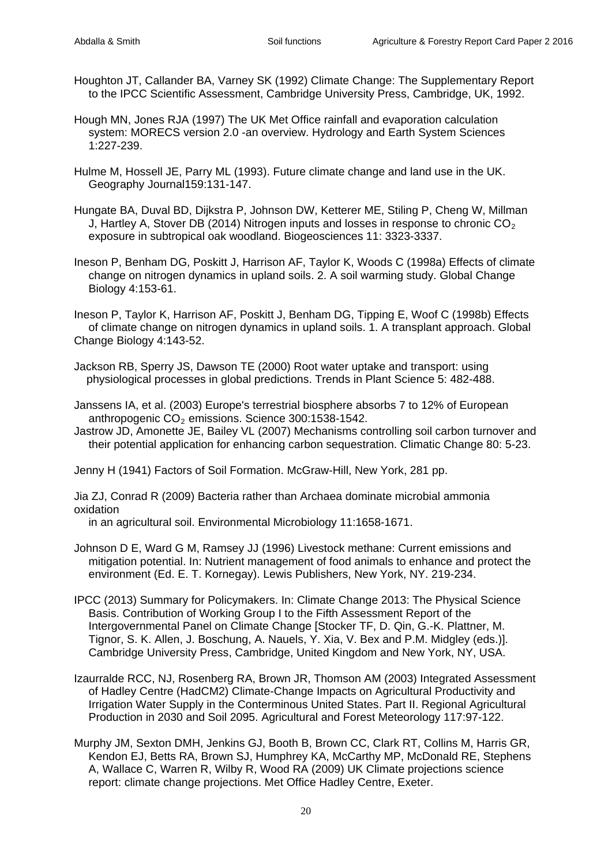- Houghton JT, Callander BA, Varney SK (1992) Climate Change: The Supplementary Report to the IPCC Scientific Assessment, Cambridge University Press, Cambridge, UK, 1992.
- Hough MN, Jones RJA (1997) The UK Met Office rainfall and evaporation calculation system: MORECS version 2.0 -an overview. Hydrology and Earth System Sciences 1:227-239.
- Hulme M, Hossell JE, Parry ML (1993). Future climate change and land use in the UK. Geography Journal159:131-147.
- Hungate BA, Duval BD, Dijkstra P, Johnson DW, Ketterer ME, Stiling P, Cheng W, Millman J, Hartley A, Stover DB (2014) Nitrogen inputs and losses in response to chronic  $CO<sub>2</sub>$ exposure in subtropical oak woodland. Biogeosciences 11: 3323-3337.
- Ineson P, Benham DG, Poskitt J, Harrison AF, Taylor K, Woods C (1998a) Effects of climate change on nitrogen dynamics in upland soils. 2. A soil warming study. Global Change Biology 4:153-61.
- Ineson P, Taylor K, Harrison AF, Poskitt J, Benham DG, Tipping E, Woof C (1998b) Effects of climate change on nitrogen dynamics in upland soils. 1. A transplant approach. Global Change Biology 4:143-52.
- Jackson RB, Sperry JS, Dawson TE (2000) Root water uptake and transport: using physiological processes in global predictions. Trends in Plant Science 5: 482-488.
- Janssens IA, et al. (2003) Europe's terrestrial biosphere absorbs 7 to 12% of European anthropogenic  $CO<sub>2</sub>$  emissions. Science 300:1538-1542.
- Jastrow JD, Amonette JE, Bailey VL (2007) Mechanisms controlling soil carbon turnover and their potential application for enhancing carbon sequestration. Climatic Change 80: 5-23.

Jenny H (1941) Factors of Soil Formation. McGraw-Hill, New York, 281 pp.

Jia ZJ, Conrad R (2009) Bacteria rather than Archaea dominate microbial ammonia oxidation

in an agricultural soil. Environmental Microbiology 11:1658-1671.

- Johnson D E, Ward G M, Ramsey JJ (1996) Livestock methane: Current emissions and mitigation potential. In: Nutrient management of food animals to enhance and protect the environment (Ed. E. T. Kornegay). Lewis Publishers, New York, NY. 219-234.
- IPCC (2013) Summary for Policymakers. In: Climate Change 2013: The Physical Science Basis. Contribution of Working Group I to the Fifth Assessment Report of the Intergovernmental Panel on Climate Change [Stocker TF, D. Qin, G.-K. Plattner, M. Tignor, S. K. Allen, J. Boschung, A. Nauels, Y. Xia, V. Bex and P.M. Midgley (eds.)]. Cambridge University Press, Cambridge, United Kingdom and New York, NY, USA.
- Izaurralde RCC, NJ, Rosenberg RA, Brown JR, Thomson AM (2003) Integrated Assessment of Hadley Centre (HadCM2) Climate-Change Impacts on Agricultural Productivity and Irrigation Water Supply in the Conterminous United States. Part II. Regional Agricultural Production in 2030 and Soil 2095. Agricultural and Forest Meteorology 117:97-122.
- Murphy JM, Sexton DMH, Jenkins GJ, Booth B, Brown CC, Clark RT, Collins M, Harris GR, Kendon EJ, Betts RA, Brown SJ, Humphrey KA, McCarthy MP, McDonald RE, Stephens A, Wallace C, Warren R, Wilby R, Wood RA (2009) UK Climate projections science report: climate change projections. Met Office Hadley Centre, Exeter.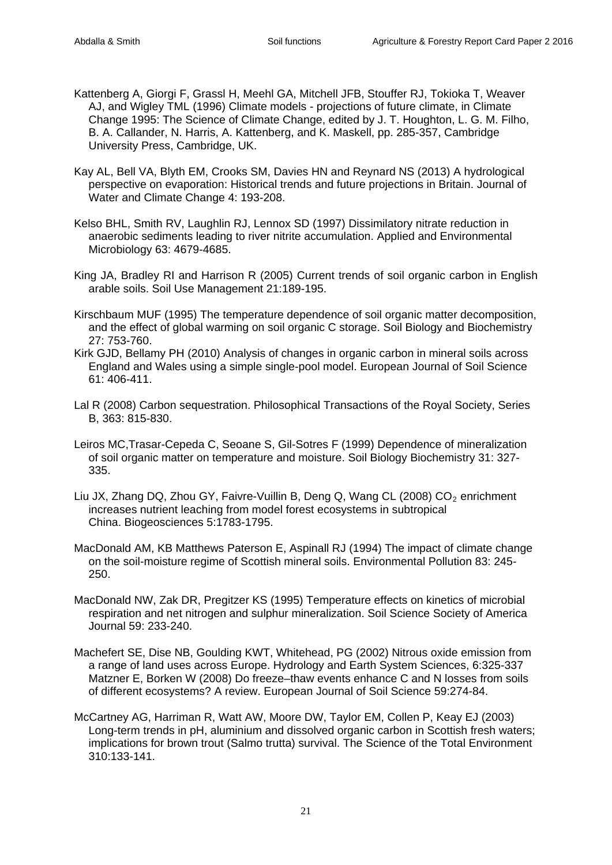- Kattenberg A, Giorgi F, Grassl H, Meehl GA, Mitchell JFB, Stouffer RJ, Tokioka T, Weaver AJ, and Wigley TML (1996) Climate models - projections of future climate, in Climate Change 1995: The Science of Climate Change, edited by J. T. Houghton, L. G. M. Filho, B. A. Callander, N. Harris, A. Kattenberg, and K. Maskell, pp. 285-357, Cambridge University Press, Cambridge, UK.
- Kay AL, Bell VA, Blyth EM, Crooks SM, Davies HN and Reynard NS (2013) A hydrological perspective on evaporation: Historical trends and future projections in Britain. Journal of Water and Climate Change 4: 193-208.
- Kelso BHL, Smith RV, Laughlin RJ, Lennox SD (1997) Dissimilatory nitrate reduction in anaerobic sediments leading to river nitrite accumulation. Applied and Environmental Microbiology 63: 4679-4685.
- King JA, Bradley RI and Harrison R (2005) Current trends of soil organic carbon in English arable soils. Soil Use Management 21:189-195.
- Kirschbaum MUF (1995) The temperature dependence of soil organic matter decomposition, and the effect of global warming on soil organic C storage. Soil Biology and Biochemistry 27: 753-760.
- Kirk GJD, Bellamy PH (2010) Analysis of changes in organic carbon in mineral soils across England and Wales using a simple single-pool model. European Journal of Soil Science 61: 406-411.
- Lal R (2008) Carbon sequestration. Philosophical Transactions of the Royal Society, Series B, 363: 815-830.
- Leiros MC,Trasar-Cepeda C, Seoane S, Gil-Sotres F (1999) Dependence of mineralization of soil organic matter on temperature and moisture. Soil Biology Biochemistry 31: 327- 335.
- Liu JX, Zhang DQ, Zhou GY, Faivre-Vuillin B, Deng Q, Wang CL (2008)  $CO<sub>2</sub>$  enrichment increases nutrient leaching from model forest ecosystems in subtropical China. Biogeosciences 5:1783-1795.
- MacDonald AM, KB Matthews Paterson E, Aspinall RJ (1994) The impact of climate change on the soil-moisture regime of Scottish mineral soils. Environmental Pollution 83: 245- 250.
- MacDonald NW, Zak DR, Pregitzer KS (1995) Temperature effects on kinetics of microbial respiration and net nitrogen and sulphur mineralization. Soil Science Society of America Journal 59: 233-240.
- Machefert SE, Dise NB, Goulding KWT, Whitehead, PG (2002) Nitrous oxide emission from a range of land uses across Europe. Hydrology and Earth System Sciences, 6:325-337 Matzner E, Borken W (2008) Do freeze–thaw events enhance C and N losses from soils of different ecosystems? A review. European Journal of Soil Science 59:274-84.
- McCartney AG, Harriman R, Watt AW, Moore DW, Taylor EM, Collen P, Keay EJ (2003) Long-term trends in pH, aluminium and dissolved organic carbon in Scottish fresh waters; implications for brown trout (Salmo trutta) survival. The Science of the Total Environment 310:133-141.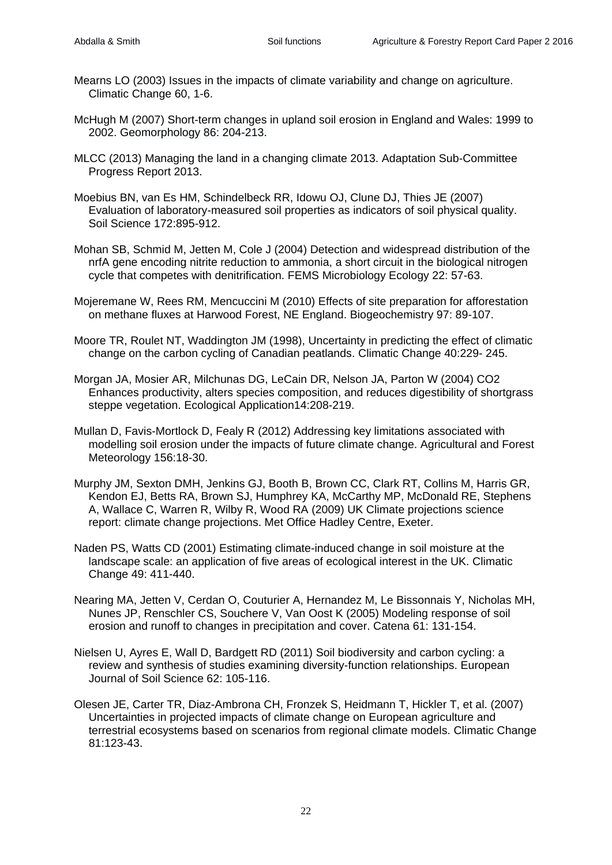- Mearns LO (2003) Issues in the impacts of climate variability and change on agriculture. Climatic Change 60, 1-6.
- McHugh M (2007) Short-term changes in upland soil erosion in England and Wales: 1999 to 2002. [Geomorphology](http://www.sciencedirect.com/science/journal/0169555X) [86:](http://www.sciencedirect.com/science/journal/0169555X/86/1) 204-213.
- MLCC (2013) Managing the land in a changing climate 2013. Adaptation Sub-Committee Progress Report 2013.
- Moebius BN, van Es HM, Schindelbeck RR, Idowu OJ, Clune DJ, Thies JE (2007) Evaluation of laboratory-measured soil properties as indicators of soil physical quality. Soil Science 172:895-912.
- Mohan SB, Schmid M, Jetten M, Cole J (2004) Detection and widespread distribution of the nrfA gene encoding nitrite reduction to ammonia, a short circuit in the biological nitrogen cycle that competes with denitrification. FEMS Microbiology Ecology 22: 57-63.
- Mojeremane W, Rees RM, Mencuccini M (2010) Effects of site preparation for afforestation on methane fluxes at Harwood Forest, NE England. Biogeochemistry 97: 89-107.
- Moore TR, Roulet NT, Waddington JM (1998), Uncertainty in predicting the effect of climatic change on the carbon cycling of Canadian peatlands. Climatic Change 40:229- 245.
- Morgan JA, Mosier AR, Milchunas DG, LeCain DR, Nelson JA, Parton W (2004) CO2 Enhances productivity, alters species composition, and reduces digestibility of shortgrass steppe vegetation. Ecological Application14:208-219.
- Mullan D, Favis-Mortlock D, Fealy R (2012) Addressing key limitations associated with modelling soil erosion under the impacts of future climate change. Agricultural and Forest Meteorology 156:18-30.
- Murphy JM, Sexton DMH, Jenkins GJ, Booth B, Brown CC, Clark RT, Collins M, Harris GR, Kendon EJ, Betts RA, Brown SJ, Humphrey KA, McCarthy MP, McDonald RE, Stephens A, Wallace C, Warren R, Wilby R, Wood RA (2009) UK Climate projections science report: climate change projections. Met Office Hadley Centre, Exeter.
- Naden PS, Watts CD (2001) Estimating climate-induced change in soil moisture at the landscape scale: an application of five areas of ecological interest in the UK. Climatic Change 49: 411-440.
- Nearing MA, Jetten V, Cerdan O, Couturier A, Hernandez M, Le Bissonnais Y, Nicholas MH, Nunes JP, Renschler CS, Souchere V, Van Oost K (2005) Modeling response of soil erosion and runoff to changes in precipitation and cover. Catena 61: 131-154.
- Nielsen U, Ayres E, Wall D, Bardgett RD (2011) Soil biodiversity and carbon cycling: a review and synthesis of studies examining diversity-function relationships. European Journal of Soil Science 62: 105-116.
- Olesen JE, Carter TR, Diaz-Ambrona CH, Fronzek S, Heidmann T, Hickler T, et al. (2007) Uncertainties in projected impacts of climate change on European agriculture and terrestrial ecosystems based on scenarios from regional climate models. Climatic Change 81:123-43.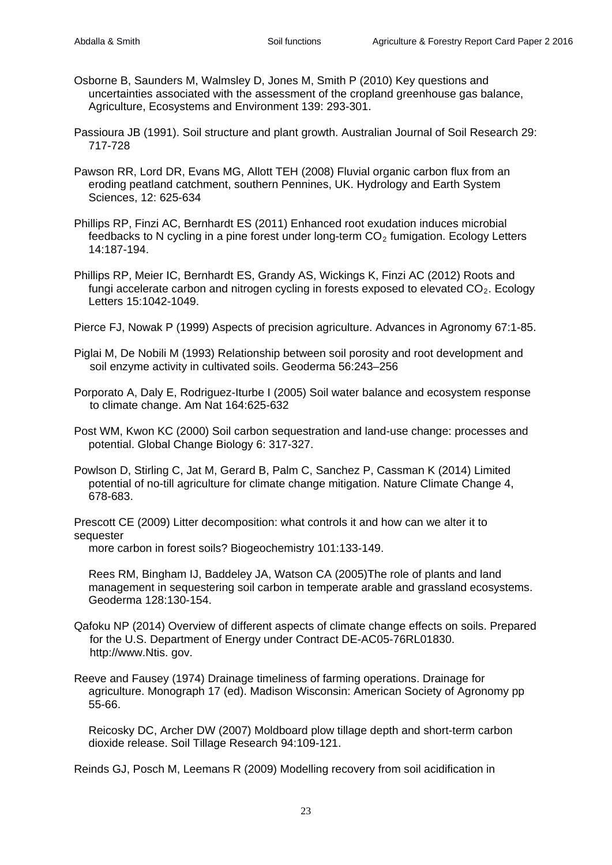- Osborne B, Saunders M, Walmsley D, Jones M, Smith P (2010) Key questions and uncertainties associated with the assessment of the cropland greenhouse gas balance, Agriculture, Ecosystems and Environment 139: 293-301.
- Passioura JB (1991). Soil structure and plant growth. Australian Journal of Soil Research 29: 717-728
- Pawson RR, Lord DR, Evans MG, Allott TEH (2008) Fluvial organic carbon flux from an eroding peatland catchment, southern Pennines, UK. Hydrology and Earth System Sciences, 12: 625-634
- Phillips RP, Finzi AC, Bernhardt ES (2011) Enhanced root exudation induces microbial feedbacks to N cycling in a pine forest under long-term  $CO<sub>2</sub>$  fumigation. Ecology Letters 14:187-194.
- Phillips RP, Meier IC, Bernhardt ES, Grandy AS, Wickings K, Finzi AC (2012) Roots and fungi accelerate carbon and nitrogen cycling in forests exposed to elevated  $CO<sub>2</sub>$ . Ecology Letters 15:1042-1049.
- Pierce FJ, Nowak P (1999) Aspects of precision agriculture. Advances in Agronomy 67:1-85.
- Piglai M, De Nobili M (1993) Relationship between soil porosity and root development and soil enzyme activity in cultivated soils. Geoderma 56:243–256
- Porporato A, Daly E, Rodriguez-Iturbe I (2005) Soil water balance and ecosystem response to climate change. Am Nat 164:625-632
- Post WM, Kwon KC (2000) Soil carbon sequestration and land-use change: processes and potential. Global Change Biology 6: 317-327.
- Powlson D, Stirling C, Jat M, Gerard B, Palm C, Sanchez P, Cassman K (2014) Limited potential of no-till agriculture for climate change mitigation. Nature Climate Change 4, 678-683.

Prescott CE (2009) Litter decomposition: what controls it and how can we alter it to sequester

more carbon in forest soils? Biogeochemistry 101:133-149.

Rees RM, Bingham IJ, Baddeley JA, Watson CA (2005)The role of plants and land management in sequestering soil carbon in temperate arable and grassland ecosystems. Geoderma 128:130-154.

- Qafoku NP (2014) Overview of different aspects of climate change effects on soils. Prepared for the U.S. Department of Energy under Contract DE-AC05-76RL01830. [http://www.](http://www/)Ntis. gov.
- Reeve and Fausey (1974) Drainage timeliness of farming operations. Drainage for agriculture. Monograph 17 (ed). Madison Wisconsin: American Society of Agronomy pp 55-66.

Reicosky DC, Archer DW (2007) Moldboard plow tillage depth and short-term carbon dioxide release. Soil Tillage Research 94:109-121.

Reinds GJ, Posch M, Leemans R (2009) Modelling recovery from soil acidification in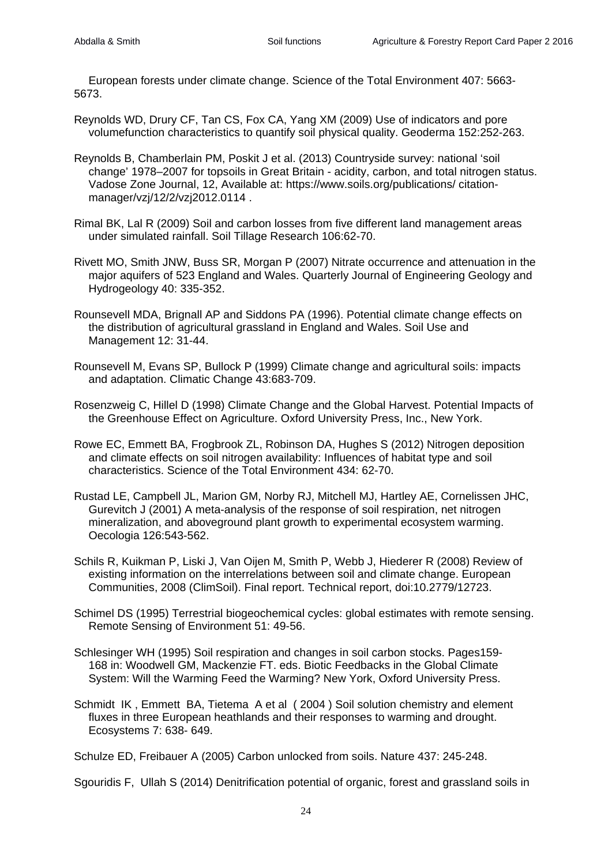European forests under climate change. Science of the Total Environment 407: 5663- 5673.

Reynolds WD, Drury CF, Tan CS, Fox CA, Yang XM (2009) Use of indicators and pore volumefunction characteristics to quantify soil physical quality. Geoderma 152:252-263.

- Reynolds B, Chamberlain PM, Poskit J et al. (2013) Countryside survey: national 'soil change' 1978–2007 for topsoils in Great Britain - acidity, carbon, and total nitrogen status. Vadose Zone Journal, 12, Available at: https://www.soils.org/publications/ citationmanager/vzj/12/2/vzj2012.0114 .
- Rimal BK, Lal R (2009) Soil and carbon losses from five different land management areas under simulated rainfall. Soil Tillage Research 106:62-70.
- Rivett MO, Smith JNW, Buss SR, Morgan P (2007) Nitrate occurrence and attenuation in the major aquifers of 523 England and Wales. Quarterly Journal of Engineering Geology and Hydrogeology 40: 335-352.
- Rounsevell MDA, Brignall AP and Siddons PA (1996). Potential climate change effects on the distribution of agricultural grassland in England and Wales. Soil Use and Management 12: 31-44.
- Rounsevell M, Evans SP, Bullock P (1999) Climate change and agricultural soils: impacts and adaptation. Climatic Change 43:683-709.
- Rosenzweig C, Hillel D (1998) Climate Change and the Global Harvest. Potential Impacts of the Greenhouse Effect on Agriculture. Oxford University Press, Inc., New York.
- Rowe EC, Emmett BA, Frogbrook ZL, Robinson DA, Hughes S (2012) Nitrogen deposition and climate effects on soil nitrogen availability: Influences of habitat type and soil characteristics. Science of the Total Environment 434: 62-70.
- Rustad LE, Campbell JL, Marion GM, Norby RJ, Mitchell MJ, Hartley AE, Cornelissen JHC, Gurevitch J (2001) A meta-analysis of the response of soil respiration, net nitrogen mineralization, and aboveground plant growth to experimental ecosystem warming. Oecologia 126:543-562.
- Schils R, Kuikman P, Liski J, Van Oijen M, Smith P, Webb J, Hiederer R (2008) Review of existing information on the interrelations between soil and climate change. European Communities, 2008 (ClimSoil). Final report. Technical report, doi:10.2779/12723.
- Schimel DS (1995) Terrestrial biogeochemical cycles: global estimates with remote sensing. Remote Sensing of Environment 51: 49-56.
- Schlesinger WH (1995) Soil respiration and changes in soil carbon stocks. Pages159- 168 in: Woodwell GM, Mackenzie FT. eds. Biotic Feedbacks in the Global Climate System: Will the Warming Feed the Warming? New York, Oxford University Press.
- Schmidt IK , Emmett BA, Tietema A et al ( 2004 ) Soil solution chemistry and element fluxes in three European heathlands and their responses to warming and drought. Ecosystems 7: 638- 649.

Schulze ED, Freibauer A (2005) Carbon unlocked from soils. Nature 437: 245-248.

Sgouridis F, Ullah S (2014) Denitrification potential of organic, forest and grassland soils in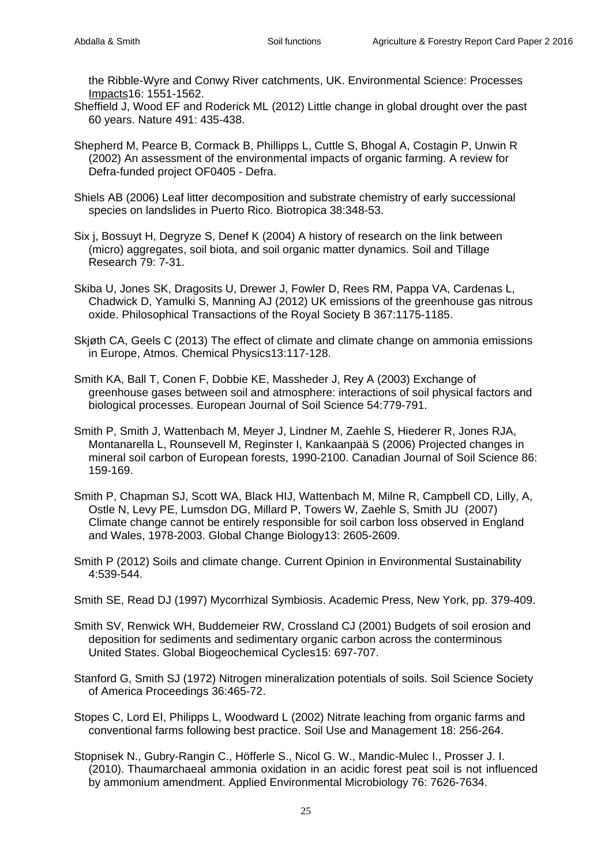the Ribble-Wyre and Conwy River catchments, UK. [Environmental Science: Processes](http://dx.doi.org/10.1039/2050-7895/2013)  [Impacts1](http://dx.doi.org/10.1039/2050-7895/2013)6: 1551-1562.

- Sheffield J, Wood EF and Roderick ML (2012) Little change in global drought over the past 60 years. Nature 491: 435-438.
- Shepherd M, Pearce B, Cormack B, Phillipps L, Cuttle S, Bhogal A, Costagin P, Unwin R (2002) An assessment of the environmental impacts of organic farming. A review for Defra-funded project OF0405 - Defra.
- Shiels AB (2006) Leaf litter decomposition and substrate chemistry of early successional species on landslides in Puerto Rico. Biotropica 38:348-53.
- Six j, Bossuyt H, Degryze S, Denef K (2004) A history of research on the link between (micro) aggregates, soil biota, and soil organic matter dynamics. Soil and [Tillage](http://www.sciencedirect.com/science/journal/01671987) [Research](http://www.sciencedirect.com/science/journal/01671987) 79: 7-31.
- Skiba U, Jones SK, Dragosits U, Drewer J, Fowler D, Rees RM, Pappa VA, Cardenas L, Chadwick D, Yamulki S, Manning AJ (2012) UK emissions of the greenhouse gas nitrous oxide. [Philosophical Transactions of the Royal Society B](http://www.ncbi.nlm.nih.gov/pmc/journals/136/) 367:1175-1185.
- Skjøth CA, Geels C (2013) The effect of climate and climate change on ammonia emissions in Europe, Atmos. Chemical Physics13:117-128.
- Smith KA, Ball T, Conen F, Dobbie KE, Massheder J, Rey A (2003) Exchange of greenhouse gases between soil and atmosphere: interactions of soil physical factors and biological processes. European Journal of Soil Science 54:779-791.
- Smith P, Smith J, Wattenbach M, Meyer J, Lindner M, Zaehle S, Hiederer R, Jones RJA, Montanarella L, Rounsevell M, Reginster I, Kankaanpää S (2006) Projected changes in mineral soil carbon of European forests, 1990-2100. Canadian Journal of Soil Science 86: 159-169.
- Smith P, Chapman SJ, Scott WA, Black HIJ, Wattenbach M, Milne R, Campbell CD, Lilly, A, Ostle N, Levy PE, Lumsdon DG, Millard P, Towers W, Zaehle S, Smith JU (2007) Climate change cannot be entirely responsible for soil carbon loss observed in England and Wales, 1978-2003. Global Change Biology13: 2605-2609.
- Smith P (2012) Soils and climate change. Current Opinion in Environmental Sustainability 4:539-544.
- Smith SE, Read DJ (1997) Mycorrhizal Symbiosis. Academic Press, New York, pp. 379-409.
- Smith SV, Renwick WH, Buddemeier RW, Crossland CJ (2001) Budgets of soil erosion and deposition for sediments and sedimentary organic carbon across the conterminous United States. Global Biogeochemical Cycles15: 697-707.
- Stanford G, Smith SJ (1972) Nitrogen mineralization potentials of soils. Soil Science Society of America Proceedings 36:465-72.
- Stopes C, Lord EI, Philipps L, Woodward L (2002) Nitrate leaching from organic farms and conventional farms following best practice. Soil Use and Management 18: 256-264.
- Stopnisek N., Gubry-Rangin C., Höfferle S., Nicol G. W., Mandic-Mulec I., Prosser J. I. (2010). Thaumarchaeal ammonia oxidation in an acidic forest peat soil is not influenced by ammonium amendment. Applied Environmental Microbiology 76: 7626-7634.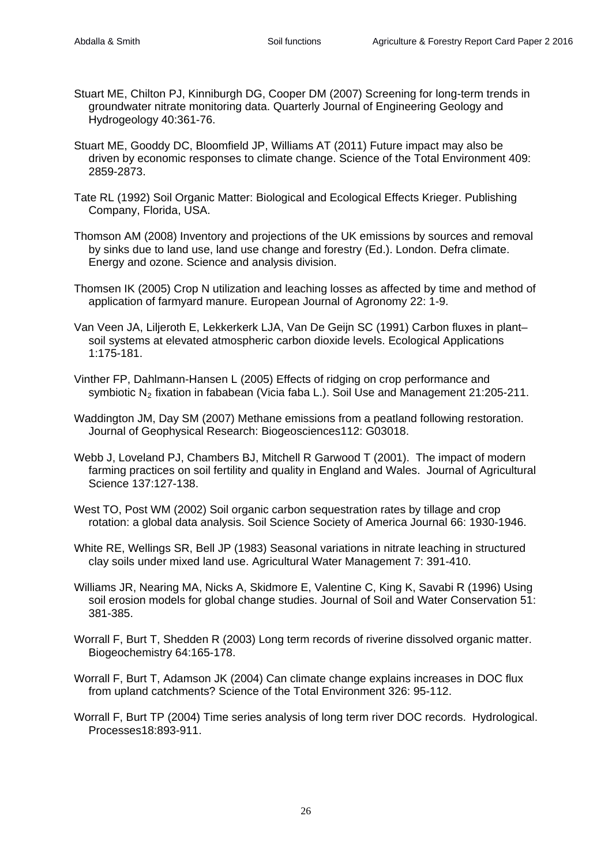- Stuart ME, Chilton PJ, Kinniburgh DG, Cooper DM (2007) Screening for long-term trends in groundwater nitrate monitoring data. Quarterly Journal of Engineering Geology and Hydrogeology 40:361-76.
- Stuart ME, Gooddy DC, Bloomfield JP, Williams AT (2011) Future impact may also be driven by economic responses to climate change. Science of the Total Environment 409: 2859-2873.
- Tate RL (1992) Soil Organic Matter: Biological and Ecological Effects Krieger. Publishing Company, Florida, USA.
- Thomson AM (2008) Inventory and projections of the UK emissions by sources and removal by sinks due to land use, land use change and forestry (Ed.). London. Defra climate. Energy and ozone. Science and analysis division.
- Thomsen IK (2005) Crop N utilization and leaching losses as affected by time and method of application of farmyard manure. European Journal of Agronomy 22: 1-9.
- Van Veen JA, Liljeroth E, Lekkerkerk LJA, Van De Geijn SC (1991) Carbon fluxes in plant– soil systems at elevated atmospheric carbon dioxide levels. Ecological Applications 1:175-181.
- Vinther FP, Dahlmann-Hansen L (2005) Effects of ridging on crop performance and symbiotic  $N_2$  fixation in fababean (Vicia faba L.). Soil Use and Management 21:205-211.
- Waddington JM, Day SM (2007) Methane emissions from a peatland following restoration. Journal of Geophysical Research: Biogeosciences112: G03018.
- Webb J, Loveland PJ, Chambers BJ, Mitchell R Garwood T (2001). The impact of modern farming practices on soil fertility and quality in England and Wales. Journal of Agricultural Science 137:127-138.
- West TO, Post WM (2002) Soil organic carbon sequestration rates by tillage and crop rotation: a global data analysis. Soil Science Society of America Journal 66: 1930-1946.
- White RE, Wellings SR, Bell JP (1983) Seasonal variations in nitrate leaching in structured clay soils under mixed land use. Agricultural Water Management 7: 391-410.
- Williams JR, Nearing MA, Nicks A, Skidmore E, Valentine C, King K, Savabi R (1996) Using soil erosion models for global change studies. Journal of Soil and Water Conservation 51: 381-385.
- Worrall F, Burt T, Shedden R (2003) Long term records of riverine dissolved organic matter. Biogeochemistry 64:165-178.
- Worrall F, Burt T, Adamson JK (2004) Can climate change explains increases in DOC flux from upland catchments? Science of the Total Environment 326: 95-112.
- Worrall F, Burt TP (2004) Time series analysis of long term river DOC records. Hydrological. Processes18:893-911.